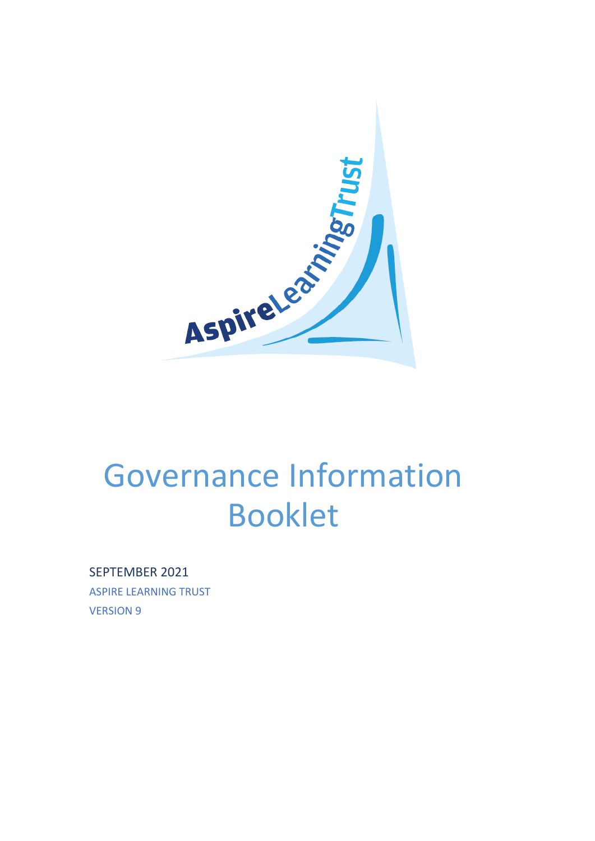

# Governance Information Booklet

SEPTEMBER 2021

ASPIRE LEARNING TRUST VERSION 9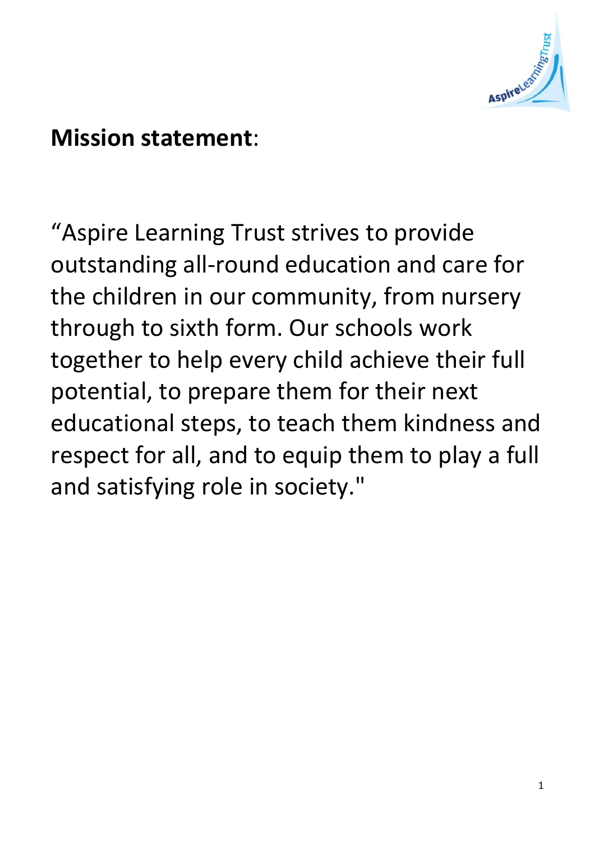

# **Mission statement**:

"Aspire Learning Trust strives to provide outstanding all-round education and care for the children in our community, from nursery through to sixth form. Our schools work together to help every child achieve their full potential, to prepare them for their next educational steps, to teach them kindness and respect for all, and to equip them to play a full and satisfying role in society."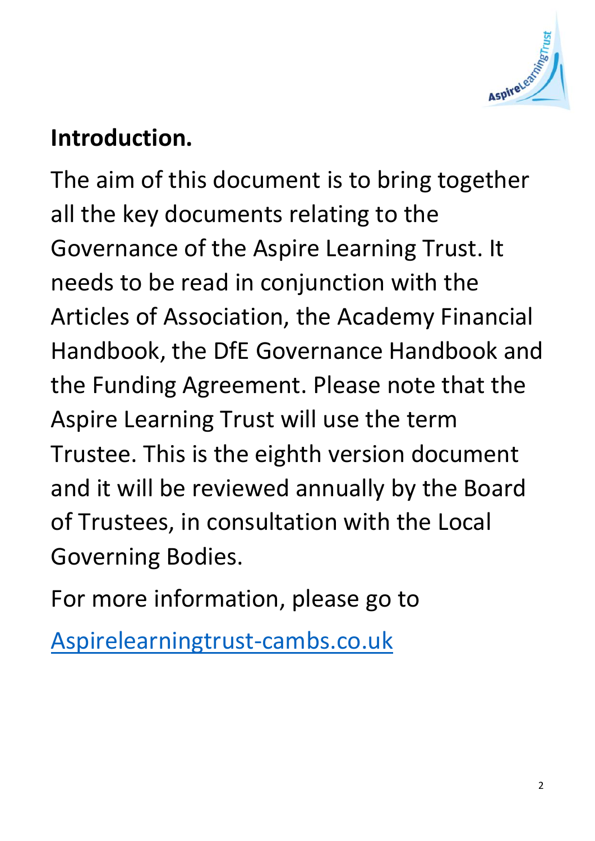

# **Introduction.**

The aim of this document is to bring together all the key documents relating to the Governance of the Aspire Learning Trust. It needs to be read in conjunction with the Articles of Association, the Academy Financial Handbook, the DfE Governance Handbook and the Funding Agreement. Please note that the Aspire Learning Trust will use the term Trustee. This is the eighth version document and it will be reviewed annually by the Board of Trustees, in consultation with the Local Governing Bodies.

For more information, please go to

[Aspirelearningtrust-cambs.co.uk](file:///C:/Users/john/AppData/Local/Microsoft/Windows/INetCache/IE/UVVJC6C8/Aspirelearningtrust-cambs.co.uk)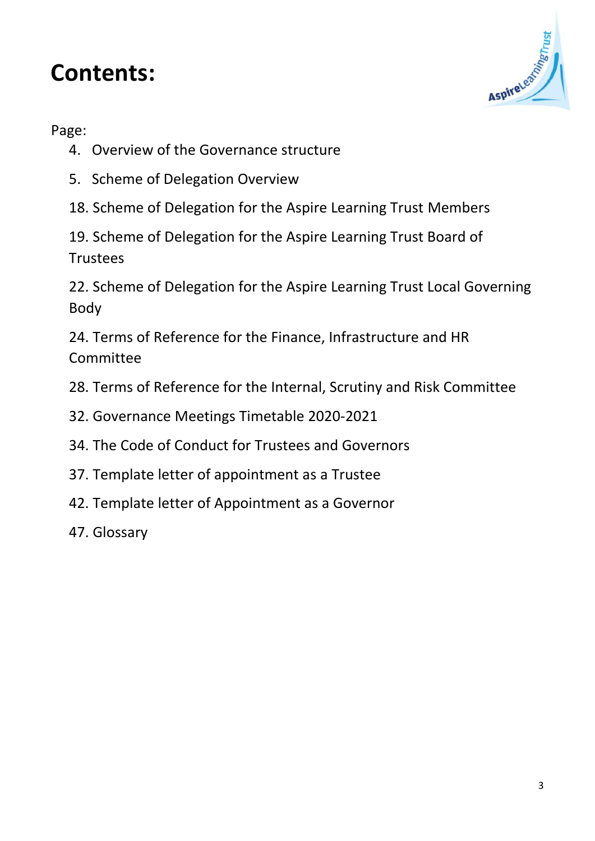# **Contents:**



Page:

- 4. Overview of the Governance structure
- 5. Scheme of Delegation Overview
- 18. Scheme of Delegation for the Aspire Learning Trust Members

19. Scheme of Delegation for the Aspire Learning Trust Board of **Trustees** 

22. Scheme of Delegation for the Aspire Learning Trust Local Governing Body

24. Terms of Reference for the Finance, Infrastructure and HR **Committee** 

28. Terms of Reference for the Internal, Scrutiny and Risk Committee

- 32. Governance Meetings Timetable 2020-2021
- 34. The Code of Conduct for Trustees and Governors
- 37. Template letter of appointment as a Trustee
- 42. Template letter of Appointment as a Governor
- 47. Glossary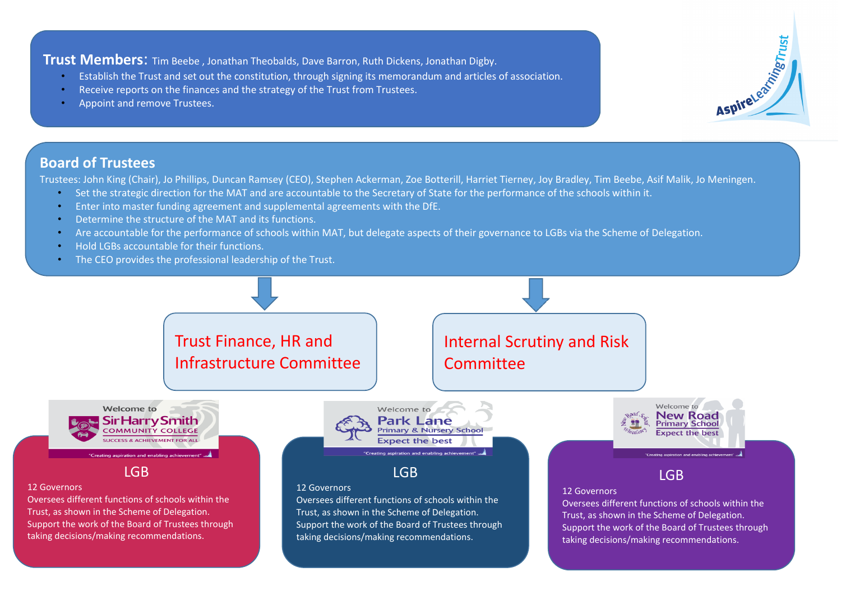**Trust Members**: Tim Beebe , Jonathan Theobalds, Dave Barron, Ruth Dickens, Jonathan Digby.

- Establish the Trust and set out the constitution, through signing its memorandum and articles of association.
- Receive reports on the finances and the strategy of the Trust from Trustees.
- Appoint and remove Trustees.

### **Board of Trustees**

Trustees: John King (Chair), Jo Phillips, Duncan Ramsey (CEO), Stephen Ackerman, Zoe Botterill, Harriet Tierney, Joy Bradley, Tim Beebe, Asif Malik, Jo Meningen.

AspireLearness

- Set the strategic direction for the MAT and are accountable to the Secretary of State for the performance of the schools within it.
- Enter into master funding agreement and supplemental agreements with the DfE.
- Determine the structure of the MAT and its functions.
- Are accountable for the performance of schools within MAT, but delegate aspects of their governance to LGBs via the Scheme of Delegation.
- Hold LGBs accountable for their functions.
- The CEO provides the professional leadership of the Trust.

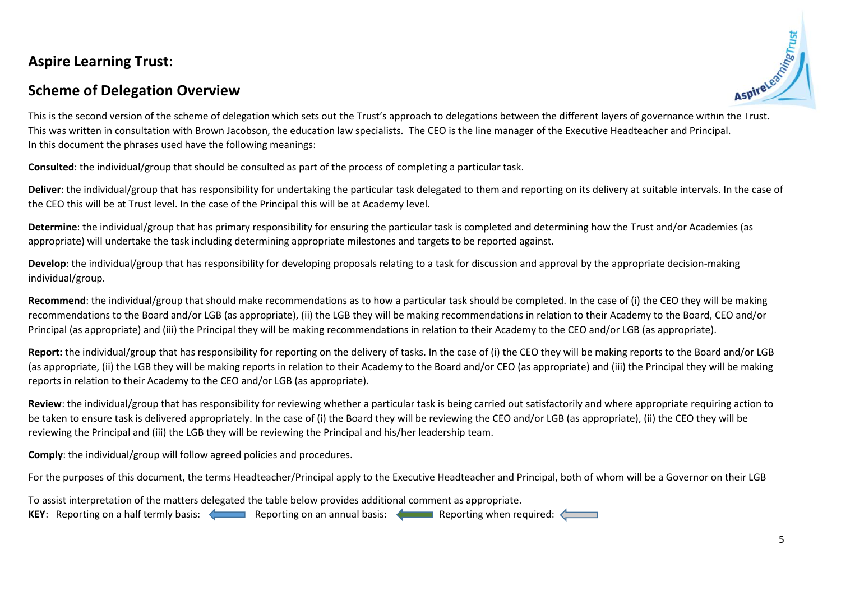# **Aspire Learning Trust:**

# **Scheme of Delegation Overview**



This is the second version of the scheme of delegation which sets out the Trust's approach to delegations between the different layers of governance within the Trust. This was written in consultation with Brown Jacobson, the education law specialists. The CEO is the line manager of the Executive Headteacher and Principal. In this document the phrases used have the following meanings:

**Consulted**: the individual/group that should be consulted as part of the process of completing a particular task.

Deliver: the individual/group that has responsibility for undertaking the particular task delegated to them and reporting on its delivery at suitable intervals. In the case of the CEO this will be at Trust level. In the case of the Principal this will be at Academy level.

**Determine**: the individual/group that has primary responsibility for ensuring the particular task is completed and determining how the Trust and/or Academies (as appropriate) will undertake the task including determining appropriate milestones and targets to be reported against.

**Develop**: the individual/group that has responsibility for developing proposals relating to a task for discussion and approval by the appropriate decision-making individual/group.

**Recommend**: the individual/group that should make recommendations as to how a particular task should be completed. In the case of (i) the CEO they will be making recommendations to the Board and/or LGB (as appropriate), (ii) the LGB they will be making recommendations in relation to their Academy to the Board, CEO and/or Principal (as appropriate) and (iii) the Principal they will be making recommendations in relation to their Academy to the CEO and/or LGB (as appropriate).

Report: the individual/group that has responsibility for reporting on the delivery of tasks. In the case of (i) the CEO they will be making reports to the Board and/or LGB (as appropriate, (ii) the LGB they will be making reports in relation to their Academy to the Board and/or CEO (as appropriate) and (iii) the Principal they will be making reports in relation to their Academy to the CEO and/or LGB (as appropriate).

**Review**: the individual/group that has responsibility for reviewing whether a particular task is being carried out satisfactorily and where appropriate requiring action to be taken to ensure task is delivered appropriately. In the case of (i) the Board they will be reviewing the CEO and/or LGB (as appropriate), (ii) the CEO they will be reviewing the Principal and (iii) the LGB they will be reviewing the Principal and his/her leadership team.

**Comply**: the individual/group will follow agreed policies and procedures.

For the purposes of this document, the terms Headteacher/Principal apply to the Executive Headteacher and Principal, both of whom will be a Governor on their LGB

To assist interpretation of the matters delegated the table below provides additional comment as appropriate.

**KEY:** Reporting on a half termly basis: Reporting on an annual basis: Reporting when required: **Reporting**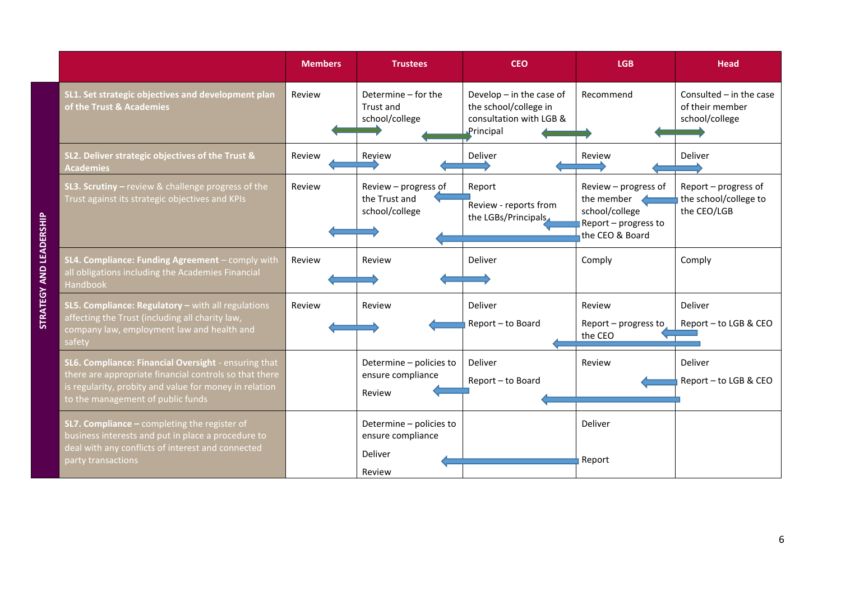|                                                                                                                                                                                                               | <b>Members</b> | <b>Trustees</b>                                                   | <b>CEO</b>                                                                                  | <b>LGB</b>                                                                                      | Head                                                           |
|---------------------------------------------------------------------------------------------------------------------------------------------------------------------------------------------------------------|----------------|-------------------------------------------------------------------|---------------------------------------------------------------------------------------------|-------------------------------------------------------------------------------------------------|----------------------------------------------------------------|
| SL1. Set strategic objectives and development plan<br>of the Trust & Academies                                                                                                                                | Review         | Determine - for the<br>Trust and<br>school/college                | Develop $-$ in the case of<br>the school/college in<br>consultation with LGB &<br>Principal | Recommend                                                                                       | Consulted $-$ in the case<br>of their member<br>school/college |
| SL2. Deliver strategic objectives of the Trust &<br><b>Academies</b>                                                                                                                                          | Review         | Review                                                            | Deliver                                                                                     | Review                                                                                          | Deliver                                                        |
| <b>SL3. Scrutiny</b> $-$ review & challenge progress of the<br>Trust against its strategic objectives and KPIs                                                                                                | Review         | Review - progress of<br>the Trust and<br>school/college           | Report<br>Review - reports from<br>the LGBs/Principals                                      | Review - progress of<br>the member<br>school/college<br>Report - progress to<br>the CEO & Board | Report - progress of<br>the school/college to<br>the CEO/LGB   |
| SL4. Compliance: Funding Agreement - comply with<br>all obligations including the Academies Financial<br>Handbook                                                                                             | Review         | Review                                                            | Deliver                                                                                     | Comply                                                                                          | Comply                                                         |
| SL5. Compliance: Regulatory - with all regulations<br>affecting the Trust (including all charity law,<br>company law, employment law and health and<br>safety                                                 | Review         | Review                                                            | Deliver<br>Report - to Board                                                                | Review<br>Report - progress to<br>the CEO                                                       | Deliver<br>Report - to LGB & CEO                               |
| SL6. Compliance: Financial Oversight - ensuring that<br>there are appropriate financial controls so that there<br>is regularity, probity and value for money in relation<br>to the management of public funds |                | Determine - policies to<br>ensure compliance<br>Review            | Deliver<br>Report - to Board                                                                | Review                                                                                          | Deliver<br>Report - to LGB & CEO                               |
| <b>SL7. Compliance - completing the register of</b><br>business interests and put in place a procedure to<br>deal with any conflicts of interest and connected<br>party transactions                          |                | Determine - policies to<br>ensure compliance<br>Deliver<br>Review |                                                                                             | Deliver<br>Report                                                                               |                                                                |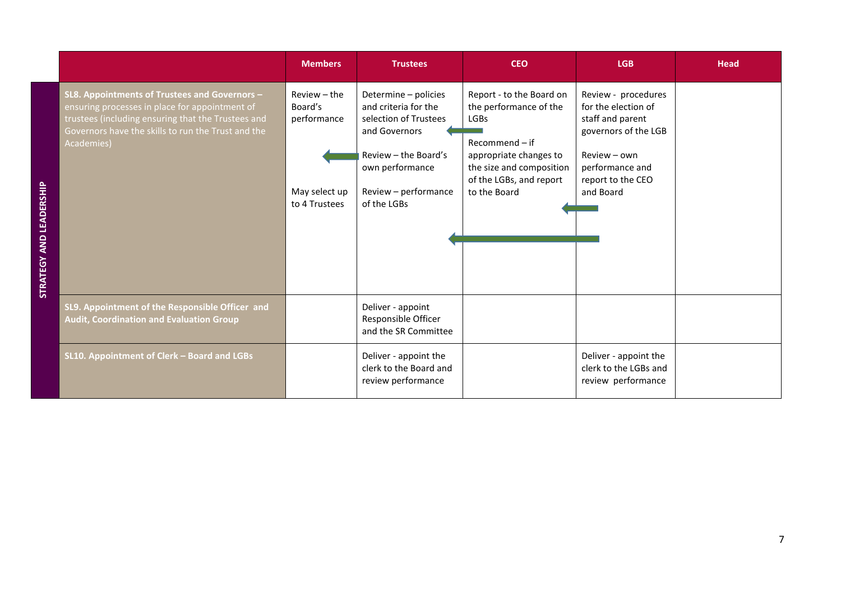|                                                                                                                                                                                                                           | <b>Members</b>                                                           | <b>Trustees</b>                                                                                                                                                          | <b>CEO</b>                                                                                                                                                                             | <b>LGB</b>                                                                                                                                                  | <b>Head</b> |
|---------------------------------------------------------------------------------------------------------------------------------------------------------------------------------------------------------------------------|--------------------------------------------------------------------------|--------------------------------------------------------------------------------------------------------------------------------------------------------------------------|----------------------------------------------------------------------------------------------------------------------------------------------------------------------------------------|-------------------------------------------------------------------------------------------------------------------------------------------------------------|-------------|
| SL8. Appointments of Trustees and Governors -<br>ensuring processes in place for appointment of<br>trustees (including ensuring that the Trustees and<br>Governors have the skills to run the Trust and the<br>Academies) | Review - the<br>Board's<br>performance<br>May select up<br>to 4 Trustees | Determine - policies<br>and criteria for the<br>selection of Trustees<br>and Governors<br>Review - the Board's<br>own performance<br>Review - performance<br>of the LGBs | Report - to the Board on<br>the performance of the<br><b>LGBs</b><br>$Recommend - if$<br>appropriate changes to<br>the size and composition<br>of the LGBs, and report<br>to the Board | Review - procedures<br>for the election of<br>staff and parent<br>governors of the LGB<br>Review - own<br>performance and<br>report to the CEO<br>and Board |             |
| SL9. Appointment of the Responsible Officer and<br><b>Audit, Coordination and Evaluation Group</b>                                                                                                                        |                                                                          | Deliver - appoint<br>Responsible Officer<br>and the SR Committee                                                                                                         |                                                                                                                                                                                        |                                                                                                                                                             |             |
| SL10. Appointment of Clerk - Board and LGBs                                                                                                                                                                               |                                                                          | Deliver - appoint the<br>clerk to the Board and<br>review performance                                                                                                    |                                                                                                                                                                                        | Deliver - appoint the<br>clerk to the LGBs and<br>review performance                                                                                        |             |

7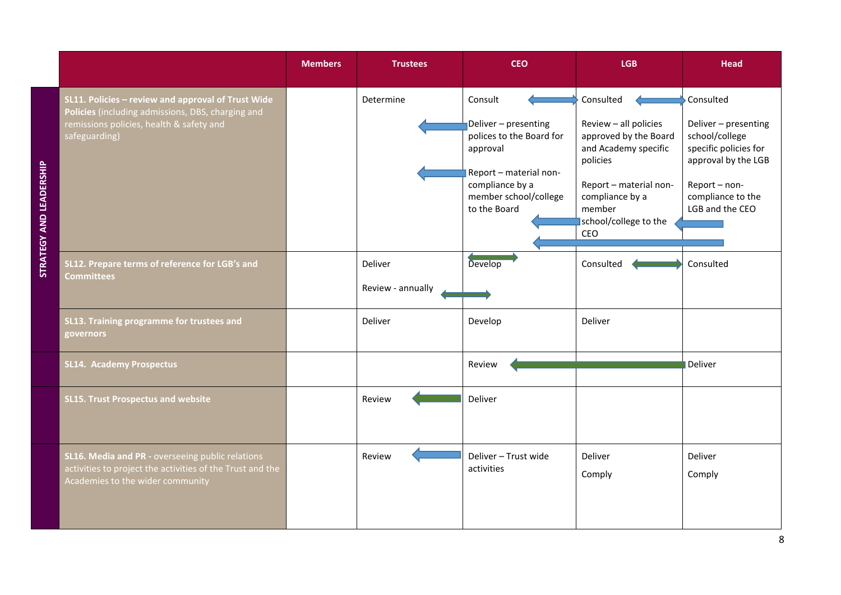|                                                                                                                                                                      | <b>Members</b> | <b>Trustees</b>              | <b>CEO</b>                                                                                                                                                    | <b>LGB</b>                                                                                                                                                                             | <b>Head</b>                                                                                                                                                |
|----------------------------------------------------------------------------------------------------------------------------------------------------------------------|----------------|------------------------------|---------------------------------------------------------------------------------------------------------------------------------------------------------------|----------------------------------------------------------------------------------------------------------------------------------------------------------------------------------------|------------------------------------------------------------------------------------------------------------------------------------------------------------|
| SL11. Policies - review and approval of Trust Wide<br>Policies (including admissions, DBS, charging and<br>remissions policies, health & safety and<br>safeguarding) |                | Determine                    | Consult<br>Deliver - presenting<br>polices to the Board for<br>approval<br>Report - material non-<br>compliance by a<br>member school/college<br>to the Board | Consulted<br>Review - all policies<br>approved by the Board<br>and Academy specific<br>policies<br>Report - material non-<br>compliance by a<br>member<br>school/college to the<br>CEO | Consulted<br>Deliver - presenting<br>school/college<br>specific policies for<br>approval by the LGB<br>Report-non-<br>compliance to the<br>LGB and the CEO |
| SL12. Prepare terms of reference for LGB's and<br><b>Committees</b>                                                                                                  |                | Deliver<br>Review - annually | Develop                                                                                                                                                       | Consulted                                                                                                                                                                              | Consulted                                                                                                                                                  |
| SL13. Training programme for trustees and<br>governors                                                                                                               |                | Deliver                      | Develop                                                                                                                                                       | Deliver                                                                                                                                                                                |                                                                                                                                                            |
| <b>SL14. Academy Prospectus</b>                                                                                                                                      |                |                              | Review                                                                                                                                                        |                                                                                                                                                                                        | Deliver                                                                                                                                                    |
| <b>SL15. Trust Prospectus and website</b>                                                                                                                            |                | Review                       | Deliver                                                                                                                                                       |                                                                                                                                                                                        |                                                                                                                                                            |
| SL16. Media and PR - overseeing public relations<br>activities to project the activities of the Trust and the<br>Academies to the wider community                    |                | Review                       | Deliver - Trust wide<br>activities                                                                                                                            | Deliver<br>Comply                                                                                                                                                                      | Deliver<br>Comply                                                                                                                                          |

**STRATEGY AND LEADERSHIP**

STRATEGY AND LEADERSHIP

 $\overline{8}$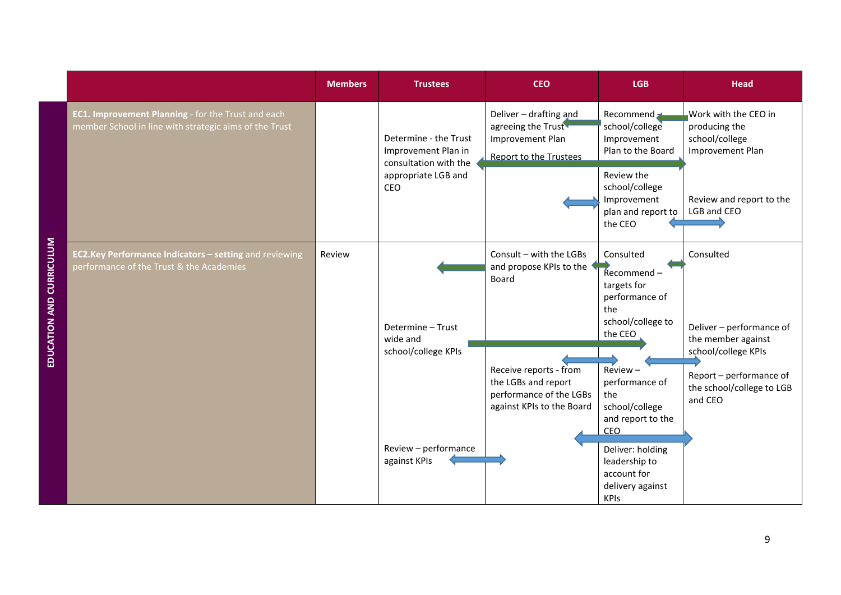|                                                                                                              | <b>Members</b> | <b>Trustees</b>                                                       | <b>CEO</b>                                                                                            | <b>LGB</b>                                                                                         | <b>Head</b>                                                                                                  |
|--------------------------------------------------------------------------------------------------------------|----------------|-----------------------------------------------------------------------|-------------------------------------------------------------------------------------------------------|----------------------------------------------------------------------------------------------------|--------------------------------------------------------------------------------------------------------------|
| EC1. Improvement Planning - for the Trust and each<br>member School in line with strategic aims of the Trust |                | Determine - the Trust<br>Improvement Plan in<br>consultation with the | Deliver - drafting and<br>agreeing the Trust<br>Improvement Plan<br><b>Report to the Trustees</b>     | Recommend -<br>school/college<br>Improvement<br>Plan to the Board                                  | Work with the CEO in<br>producing the<br>school/college<br>Improvement Plan                                  |
|                                                                                                              |                | appropriate LGB and<br>CEO                                            |                                                                                                       | Review the<br>school/college<br>Improvement<br>plan and report to<br>the CEO                       | Review and report to the<br>LGB and CEO                                                                      |
| EC2.Key Performance Indicators - setting and reviewing<br>performance of the Trust & the Academies           | Review         | Determine - Trust                                                     | Consult - with the LGBs<br>and propose KPIs to the<br>Board                                           | Consulted<br>$Recommend -$<br>targets for<br>performance of<br>the<br>school/college to<br>the CEO | Consulted<br>Deliver - performance of                                                                        |
|                                                                                                              |                | wide and<br>school/college KPIs                                       | Receive reports - from<br>the LGBs and report<br>performance of the LGBs<br>against KPIs to the Board | $Review -$<br>performance of<br>the<br>school/college<br>and report to the                         | the member against<br>school/college KPIs<br>Report - performance of<br>the school/college to LGB<br>and CEO |
|                                                                                                              |                | Review - performance<br>against KPIs                                  |                                                                                                       | CEO<br>Deliver: holding<br>leadership to<br>account for<br>delivery against<br><b>KPIs</b>         |                                                                                                              |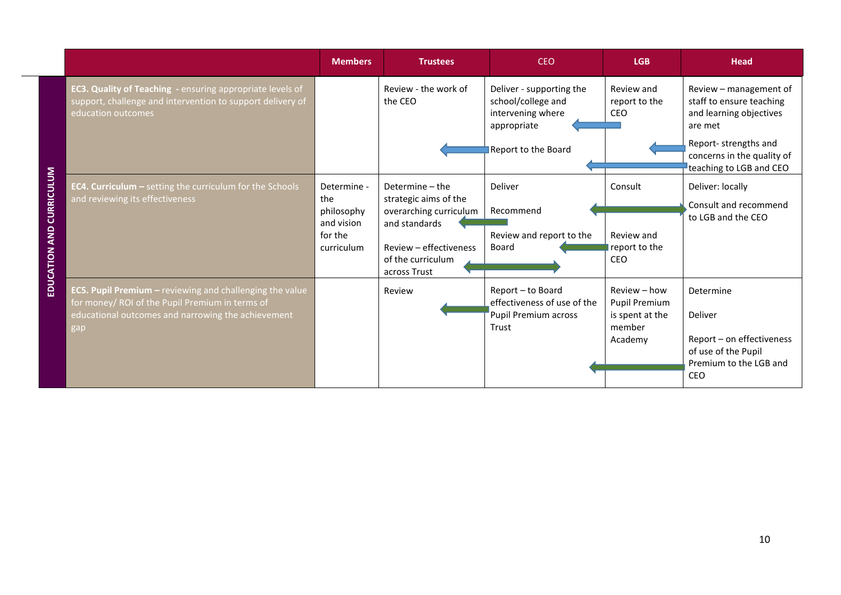|                          |                                                                                                                                                                          | <b>Members</b>                                                          | <b>Trustees</b>                                                                                                                                    | <b>CEO</b>                                                                                                | <b>LGB</b>                                                                   | <b>Head</b>                                                                                                                                    |
|--------------------------|--------------------------------------------------------------------------------------------------------------------------------------------------------------------------|-------------------------------------------------------------------------|----------------------------------------------------------------------------------------------------------------------------------------------------|-----------------------------------------------------------------------------------------------------------|------------------------------------------------------------------------------|------------------------------------------------------------------------------------------------------------------------------------------------|
|                          | <b>EC3. Quality of Teaching - ensuring appropriate levels of</b><br>support, challenge and intervention to support delivery of<br>education outcomes                     |                                                                         | Review - the work of<br>the CEO                                                                                                                    | Deliver - supporting the<br>school/college and<br>intervening where<br>appropriate<br>Report to the Board | Review and<br>report to the<br>CEO                                           | Review – management of<br>staff to ensure teaching<br>and learning objectives<br>are met<br>Report-strengths and<br>concerns in the quality of |
|                          |                                                                                                                                                                          |                                                                         |                                                                                                                                                    |                                                                                                           |                                                                              | teaching to LGB and CEO                                                                                                                        |
| EDUCATION AND CURRICULUM | <b>EC4. Curriculum - setting the curriculum for the Schools</b><br>and reviewing its effectiveness                                                                       | Determine -<br>the<br>philosophy<br>and vision<br>for the<br>curriculum | Determine - the<br>strategic aims of the<br>overarching curriculum<br>and standards<br>Review - effectiveness<br>of the curriculum<br>across Trust | Deliver<br>Recommend<br>Review and report to the<br>Board                                                 | Consult<br>Review and<br>report to the<br>CEO                                | Deliver: locally<br>Consult and recommend<br>to LGB and the CEO                                                                                |
|                          | EC5. Pupil Premium - reviewing and challenging the value<br>for money/ ROI of the Pupil Premium in terms of<br>educational outcomes and narrowing the achievement<br>gap |                                                                         | Review                                                                                                                                             | Report - to Board<br>effectiveness of use of the<br>Pupil Premium across<br>Trust                         | Review - how<br><b>Pupil Premium</b><br>is spent at the<br>member<br>Academy | Determine<br>Deliver<br>Report - on effectiveness<br>of use of the Pupil<br>Premium to the LGB and<br><b>CEO</b>                               |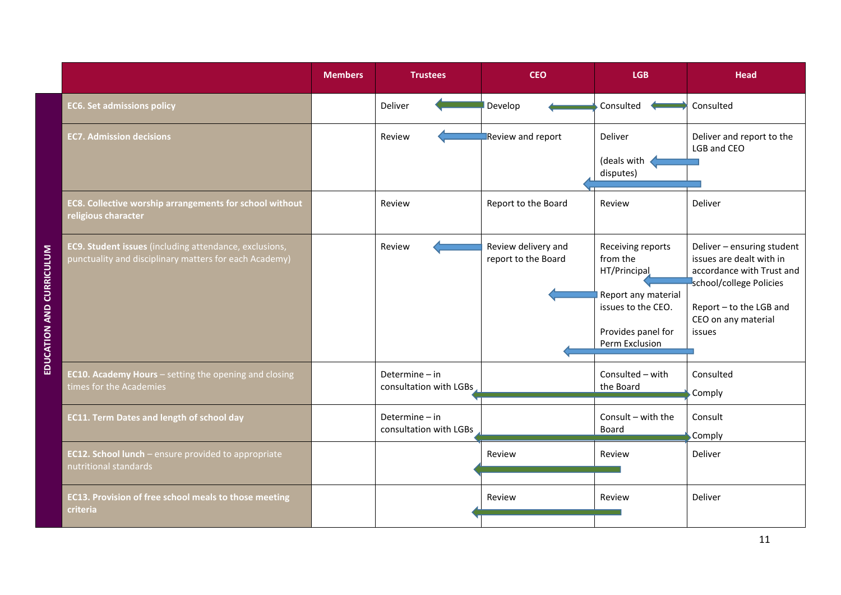|                          |                                                                                                                  | <b>Members</b> | <b>Trustees</b>                            | <b>CEO</b>                                 | <b>LGB</b>                                                                                                                         | <b>Head</b>                                                                                                                                                                |
|--------------------------|------------------------------------------------------------------------------------------------------------------|----------------|--------------------------------------------|--------------------------------------------|------------------------------------------------------------------------------------------------------------------------------------|----------------------------------------------------------------------------------------------------------------------------------------------------------------------------|
|                          | <b>EC6. Set admissions policy</b>                                                                                |                | Deliver                                    | Develop                                    | Consulted                                                                                                                          | Consulted                                                                                                                                                                  |
|                          | <b>EC7. Admission decisions</b>                                                                                  |                | Review                                     | Review and report                          | Deliver<br>(deals with<br>disputes)                                                                                                | Deliver and report to the<br>LGB and CEO                                                                                                                                   |
|                          | EC8. Collective worship arrangements for school without<br>religious character                                   |                | Review                                     | Report to the Board                        | Review                                                                                                                             | Deliver                                                                                                                                                                    |
| EDUCATION AND CURRICULUM | EC9. Student issues (including attendance, exclusions,<br>punctuality and disciplinary matters for each Academy) |                | Review                                     | Review delivery and<br>report to the Board | Receiving reports<br>from the<br>HT/Principal<br>Report any material<br>issues to the CEO.<br>Provides panel for<br>Perm Exclusion | Deliver - ensuring student<br>issues are dealt with in<br>accordance with Trust and<br>school/college Policies<br>Report - to the LGB and<br>CEO on any material<br>issues |
|                          | <b>EC10. Academy Hours</b> - setting the opening and closing<br>times for the Academies                          |                | Determine - in<br>consultation with LGBs   |                                            | Consulted - with<br>the Board                                                                                                      | Consulted<br>Comply                                                                                                                                                        |
|                          | <b>EC11. Term Dates and length of school day</b>                                                                 |                | Determine $-$ in<br>consultation with LGBs |                                            | Consult - with the<br><b>Board</b>                                                                                                 | Consult<br>Comply                                                                                                                                                          |
|                          | EC12. School lunch - ensure provided to appropriate<br>nutritional standards                                     |                |                                            | Review                                     | Review                                                                                                                             | Deliver                                                                                                                                                                    |
|                          | <b>EC13. Provision of free school meals to those meeting</b><br><b>criteria</b>                                  |                |                                            | Review                                     | Review                                                                                                                             | Deliver                                                                                                                                                                    |

EDUCATION AND CURRICULUM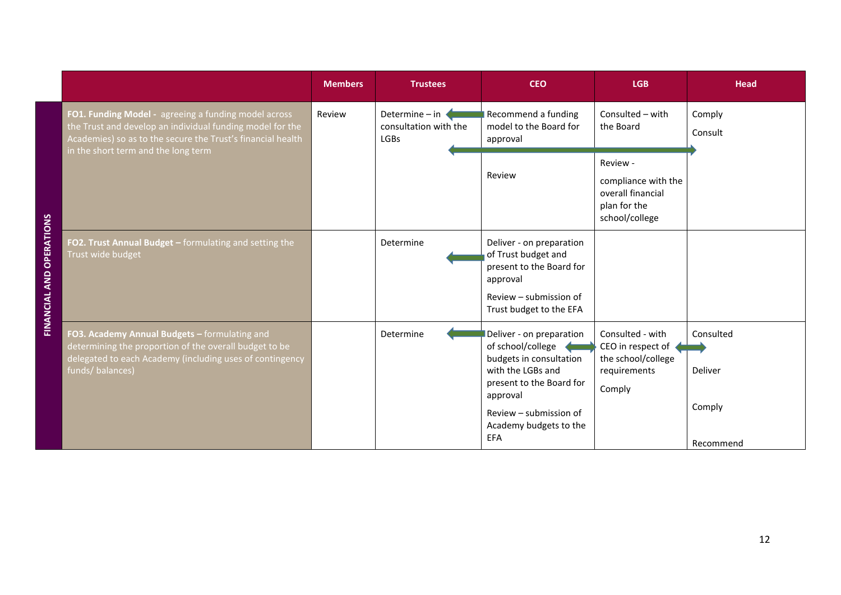|                                                                                                                                                                                                                         | <b>Members</b> | <b>Trustees</b>                                        | <b>CEO</b>                                                                                                                                                                                       | <b>LGB</b>                                                                             | <b>Head</b>                                 |
|-------------------------------------------------------------------------------------------------------------------------------------------------------------------------------------------------------------------------|----------------|--------------------------------------------------------|--------------------------------------------------------------------------------------------------------------------------------------------------------------------------------------------------|----------------------------------------------------------------------------------------|---------------------------------------------|
| FO1. Funding Model - agreeing a funding model across<br>the Trust and develop an individual funding model for the<br>Academies) so as to the secure the Trust's financial health<br>in the short term and the long term | Review         | Determine - in<br>consultation with the<br><b>LGBs</b> | Recommend a funding<br>model to the Board for<br>approval                                                                                                                                        | Consulted - with<br>the Board                                                          | Comply<br>Consult                           |
|                                                                                                                                                                                                                         |                |                                                        | Review                                                                                                                                                                                           | Review -<br>compliance with the<br>overall financial<br>plan for the<br>school/college |                                             |
| FO2. Trust Annual Budget - formulating and setting the<br>Trust wide budget                                                                                                                                             |                | Determine                                              | Deliver - on preparation<br>of Trust budget and<br>present to the Board for<br>approval<br>Review - submission of<br>Trust budget to the EFA                                                     |                                                                                        |                                             |
| FO3. Academy Annual Budgets - formulating and<br>determining the proportion of the overall budget to be<br>delegated to each Academy (including uses of contingency<br>funds/balances)                                  |                | Determine                                              | Deliver - on preparation<br>of school/college<br>budgets in consultation<br>with the LGBs and<br>present to the Board for<br>approval<br>Review – submission of<br>Academy budgets to the<br>EFA | Consulted - with<br>CEO in respect of<br>the school/college<br>requirements<br>Comply  | Consulted<br>Deliver<br>Comply<br>Recommend |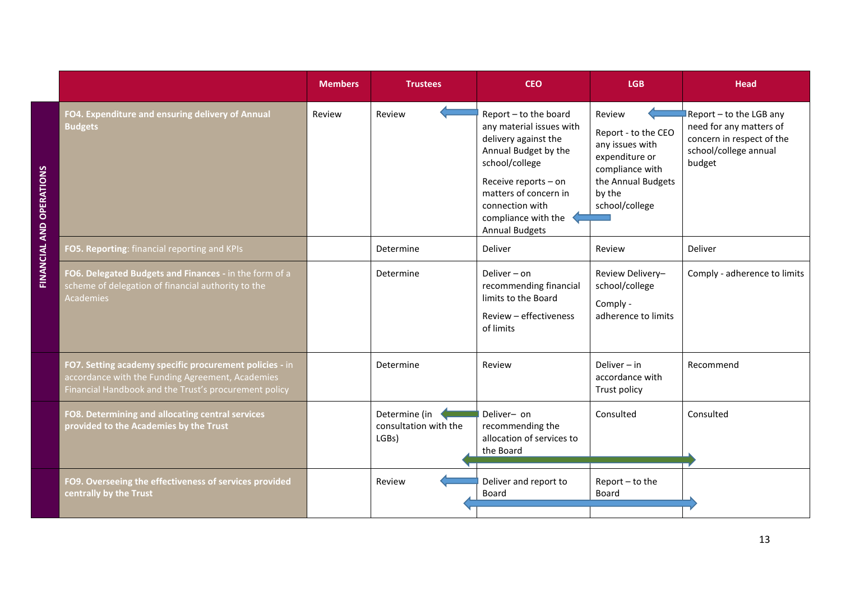|                                                                                                                                                                      | <b>Members</b> | <b>Trustees</b>                                 | <b>CEO</b>                                                                                                                                                                                                                              | <b>LGB</b>                                                                                                                              | <b>Head</b>                                                                                                        |
|----------------------------------------------------------------------------------------------------------------------------------------------------------------------|----------------|-------------------------------------------------|-----------------------------------------------------------------------------------------------------------------------------------------------------------------------------------------------------------------------------------------|-----------------------------------------------------------------------------------------------------------------------------------------|--------------------------------------------------------------------------------------------------------------------|
| FO4. Expenditure and ensuring delivery of Annual<br><b>Budgets</b>                                                                                                   | Review         | Review                                          | Report - to the board<br>any material issues with<br>delivery against the<br>Annual Budget by the<br>school/college<br>Receive reports - on<br>matters of concern in<br>connection with<br>compliance with the<br><b>Annual Budgets</b> | Review<br>Report - to the CEO<br>any issues with<br>expenditure or<br>compliance with<br>the Annual Budgets<br>by the<br>school/college | Report - to the LGB any<br>need for any matters of<br>concern in respect of the<br>school/college annual<br>budget |
| FO5. Reporting: financial reporting and KPIs                                                                                                                         |                | Determine                                       | Deliver                                                                                                                                                                                                                                 | Review                                                                                                                                  | Deliver                                                                                                            |
| FO6. Delegated Budgets and Finances - in the form of a<br>scheme of delegation of financial authority to the<br><b>Academies</b>                                     |                | Determine                                       | Deliver $-$ on<br>recommending financial<br>limits to the Board<br>Review - effectiveness<br>of limits                                                                                                                                  | Review Delivery-<br>school/college<br>Comply -<br>adherence to limits                                                                   | Comply - adherence to limits                                                                                       |
| FO7. Setting academy specific procurement policies - in<br>accordance with the Funding Agreement, Academies<br>Financial Handbook and the Trust's procurement policy |                | Determine                                       | Review                                                                                                                                                                                                                                  | Deliver $-$ in<br>accordance with<br>Trust policy                                                                                       | Recommend                                                                                                          |
| FO8. Determining and allocating central services<br>provided to the Academies by the Trust                                                                           |                | Determine (in<br>consultation with the<br>LGBs) | Deliver- on<br>recommending the<br>allocation of services to<br>the Board                                                                                                                                                               | Consulted                                                                                                                               | Consulted                                                                                                          |
| FO9. Overseeing the effectiveness of services provided<br>centrally by the Trust                                                                                     |                | Review                                          | Deliver and report to<br>Board                                                                                                                                                                                                          | Report-to the<br>Board                                                                                                                  |                                                                                                                    |

**FINANCIAL AND OPERATIONS**

**FINANCIAL AND OPERATIONS** 

13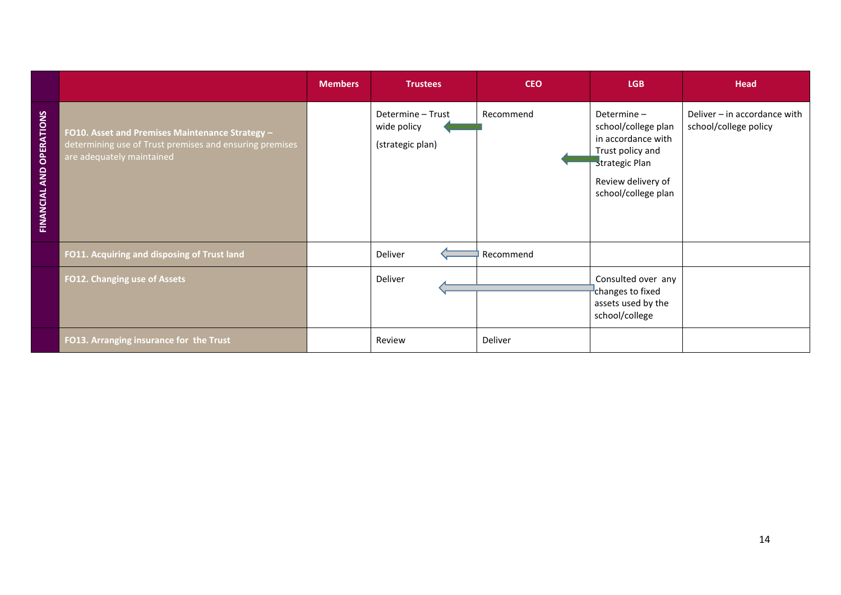|                                 |                                                                                                                                         | <b>Members</b> | <b>Trustees</b>                                      | <b>CEO</b> | LGB                                                                                                                                        | <b>Head</b>                                           |
|---------------------------------|-----------------------------------------------------------------------------------------------------------------------------------------|----------------|------------------------------------------------------|------------|--------------------------------------------------------------------------------------------------------------------------------------------|-------------------------------------------------------|
| <b>FINANCIAL AND OPERATIONS</b> | FO10. Asset and Premises Maintenance Strategy -<br>determining use of Trust premises and ensuring premises<br>are adequately maintained |                | Determine - Trust<br>wide policy<br>(strategic plan) | Recommend  | Determine-<br>school/college plan<br>in accordance with<br>Trust policy and<br>strategic Plan<br>Review delivery of<br>school/college plan | Deliver - in accordance with<br>school/college policy |
|                                 | FO11. Acquiring and disposing of Trust land                                                                                             |                | Deliver                                              | Recommend  |                                                                                                                                            |                                                       |
|                                 | FO12. Changing use of Assets                                                                                                            |                | Deliver                                              |            | Consulted over any<br>changes to fixed<br>assets used by the<br>school/college                                                             |                                                       |
|                                 | FO13. Arranging insurance for the Trust                                                                                                 |                | Review                                               | Deliver    |                                                                                                                                            |                                                       |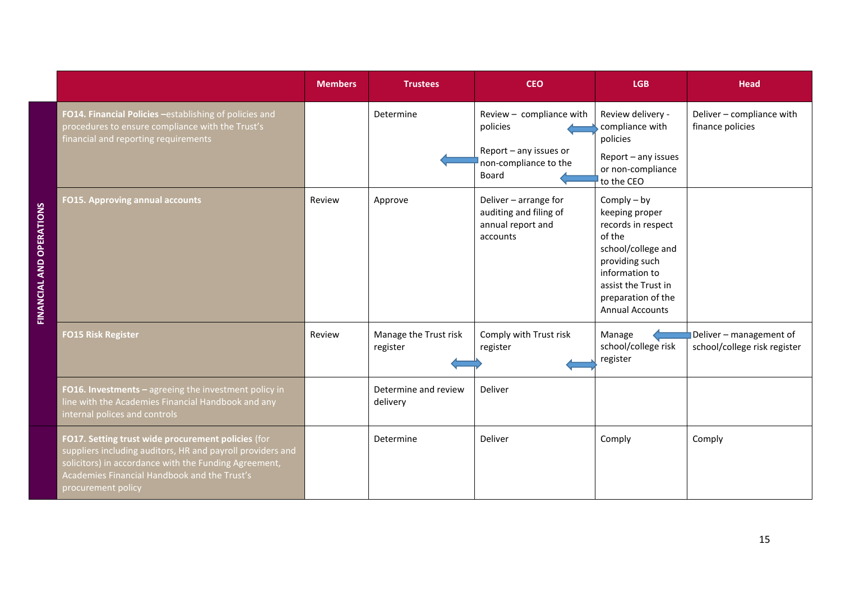|                                                                                                                                                                                                                                                 | <b>Members</b> | <b>Trustees</b>                   | <b>CEO</b>                                                                                       | <b>LGB</b>                                                                                                                                                                                       | <b>Head</b>                                             |
|-------------------------------------------------------------------------------------------------------------------------------------------------------------------------------------------------------------------------------------------------|----------------|-----------------------------------|--------------------------------------------------------------------------------------------------|--------------------------------------------------------------------------------------------------------------------------------------------------------------------------------------------------|---------------------------------------------------------|
| FO14. Financial Policies -establishing of policies and<br>procedures to ensure compliance with the Trust's<br>financial and reporting requirements                                                                                              |                | Determine                         | Review - compliance with<br>policies<br>Report - any issues or<br>non-compliance to the<br>Board | Review delivery -<br>compliance with<br>policies<br>Report - any issues<br>or non-compliance<br>to the CEO                                                                                       | Deliver - compliance with<br>finance policies           |
| <b>FO15. Approving annual accounts</b>                                                                                                                                                                                                          | Review         | Approve                           | Deliver - arrange for<br>auditing and filing of<br>annual report and<br>accounts                 | Comply $-$ by<br>keeping proper<br>records in respect<br>of the<br>school/college and<br>providing such<br>information to<br>assist the Trust in<br>preparation of the<br><b>Annual Accounts</b> |                                                         |
| <b>FO15 Risk Register</b>                                                                                                                                                                                                                       | Review         | Manage the Trust risk<br>register | Comply with Trust risk<br>register                                                               | Manage<br>school/college risk<br>register                                                                                                                                                        | Deliver - management of<br>school/college risk register |
| FO16. Investments - agreeing the investment policy in<br>line with the Academies Financial Handbook and any<br>internal polices and controls                                                                                                    |                | Determine and review<br>delivery  | Deliver                                                                                          |                                                                                                                                                                                                  |                                                         |
| FO17. Setting trust wide procurement policies (for<br>suppliers including auditors, HR and payroll providers and<br>solicitors) in accordance with the Funding Agreement,<br>Academies Financial Handbook and the Trust's<br>procurement policy |                | Determine                         | Deliver                                                                                          | Comply                                                                                                                                                                                           | Comply                                                  |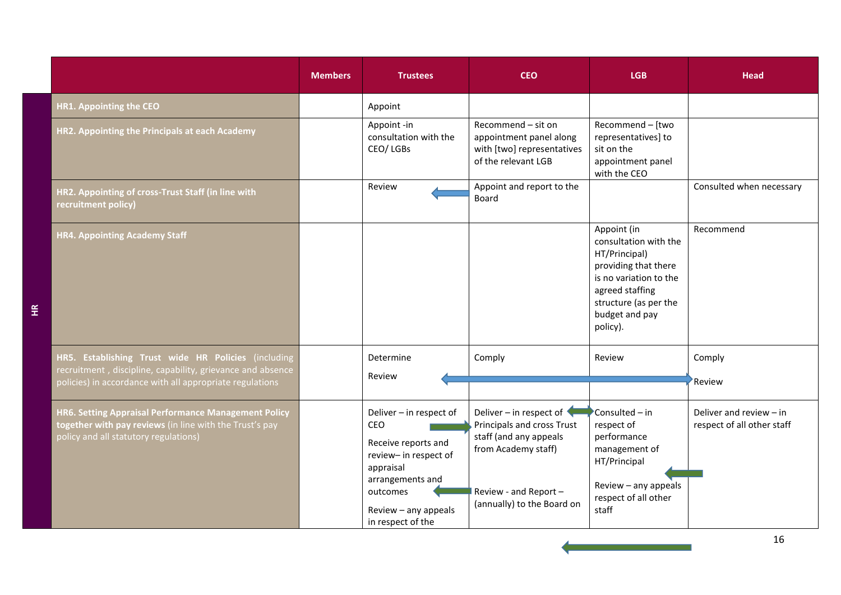|                                                                                                                                                                               | <b>Members</b> | <b>Trustees</b>                                                                                                                                                          | <b>CEO</b>                                                                                                                                                    | <b>LGB</b>                                                                                                                                                                        | Head                                                    |
|-------------------------------------------------------------------------------------------------------------------------------------------------------------------------------|----------------|--------------------------------------------------------------------------------------------------------------------------------------------------------------------------|---------------------------------------------------------------------------------------------------------------------------------------------------------------|-----------------------------------------------------------------------------------------------------------------------------------------------------------------------------------|---------------------------------------------------------|
| HR1. Appointing the CEO                                                                                                                                                       |                | Appoint                                                                                                                                                                  |                                                                                                                                                               |                                                                                                                                                                                   |                                                         |
| HR2. Appointing the Principals at each Academy                                                                                                                                |                | Appoint -in<br>consultation with the<br>CEO/LGBs                                                                                                                         | Recommend - sit on<br>appointment panel along<br>with [two] representatives<br>of the relevant LGB                                                            | Recommend - [two<br>representatives] to<br>sit on the<br>appointment panel<br>with the CEO                                                                                        |                                                         |
| HR2. Appointing of cross-Trust Staff (in line with<br>recruitment policy)                                                                                                     |                | Review                                                                                                                                                                   | Appoint and report to the<br><b>Board</b>                                                                                                                     |                                                                                                                                                                                   | Consulted when necessary                                |
| <b>HR4. Appointing Academy Staff</b>                                                                                                                                          |                |                                                                                                                                                                          |                                                                                                                                                               | Appoint (in<br>consultation with the<br>HT/Principal)<br>providing that there<br>is no variation to the<br>agreed staffing<br>structure (as per the<br>budget and pay<br>policy). | Recommend                                               |
| HR5. Establishing Trust wide HR Policies (including<br>recruitment, discipline, capability, grievance and absence<br>policies) in accordance with all appropriate regulations |                | Determine<br>Review                                                                                                                                                      | Comply                                                                                                                                                        | Review                                                                                                                                                                            | Comply<br>Review                                        |
| HR6. Setting Appraisal Performance Management Policy<br>together with pay reviews (in line with the Trust's pay<br>policy and all statutory regulations)                      |                | Deliver - in respect of<br>CEO<br>Receive reports and<br>review- in respect of<br>appraisal<br>arrangements and<br>outcomes<br>Review - any appeals<br>in respect of the | Deliver – in respect of<br>Principals and cross Trust<br>staff (and any appeals<br>from Academy staff)<br>Review - and Report -<br>(annually) to the Board on | Consulted - in<br>respect of<br>performance<br>management of<br>HT/Principal<br>Review - any appeals<br>respect of all other<br>staff                                             | Deliver and review $-$ in<br>respect of all other staff |

a sa kacamatan ing Kabupatèn Kabupatèn Ing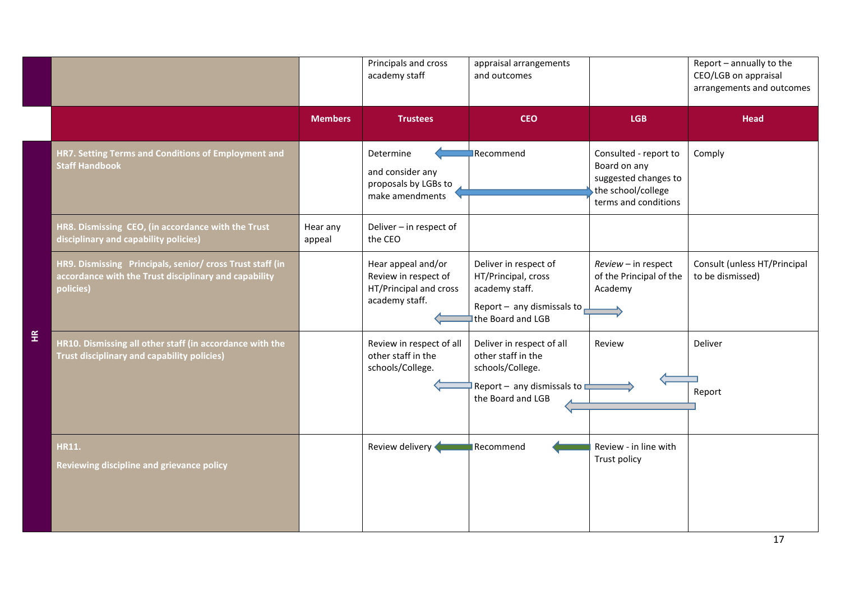|                      |                                                                                                                                 |                    | Principals and cross<br>academy staff                                                  | appraisal arrangements<br>and outcomes                                                                                           |                                                                                                             | Report - annually to the<br>CEO/LGB on appraisal<br>arrangements and outcomes |
|----------------------|---------------------------------------------------------------------------------------------------------------------------------|--------------------|----------------------------------------------------------------------------------------|----------------------------------------------------------------------------------------------------------------------------------|-------------------------------------------------------------------------------------------------------------|-------------------------------------------------------------------------------|
|                      |                                                                                                                                 | <b>Members</b>     | <b>Trustees</b>                                                                        | <b>CEO</b>                                                                                                                       | <b>LGB</b>                                                                                                  | <b>Head</b>                                                                   |
|                      | HR7. Setting Terms and Conditions of Employment and<br><b>Staff Handbook</b>                                                    |                    | Determine<br>and consider any<br>proposals by LGBs to<br>make amendments               | Recommend                                                                                                                        | Consulted - report to<br>Board on any<br>suggested changes to<br>the school/college<br>terms and conditions | Comply                                                                        |
|                      | HR8. Dismissing CEO, (in accordance with the Trust<br>disciplinary and capability policies)                                     | Hear any<br>appeal | Deliver - in respect of<br>the CEO                                                     |                                                                                                                                  |                                                                                                             |                                                                               |
|                      | HR9. Dismissing Principals, senior/ cross Trust staff (in<br>accordance with the Trust disciplinary and capability<br>policies) |                    | Hear appeal and/or<br>Review in respect of<br>HT/Principal and cross<br>academy staff. | Deliver in respect of<br>HT/Principal, cross<br>academy staff.<br>Report - any dismissals to $\Box$<br>the Board and LGB         | Review - in respect<br>of the Principal of the<br>Academy                                                   | Consult (unless HT/Principal<br>to be dismissed)                              |
| $\frac{\alpha}{\pm}$ | HR10. Dismissing all other staff (in accordance with the<br><b>Trust disciplinary and capability policies)</b>                  |                    | Review in respect of all<br>other staff in the<br>schools/College.                     | Deliver in respect of all<br>other staff in the<br>schools/College.<br>Report - any dismissals to $\square$<br>the Board and LGB | Review                                                                                                      | Deliver<br>Report                                                             |
|                      | <b>HR11.</b><br>Reviewing discipline and grievance policy                                                                       |                    | Review delivery                                                                        | Recommend                                                                                                                        | Review - in line with<br>Trust policy                                                                       |                                                                               |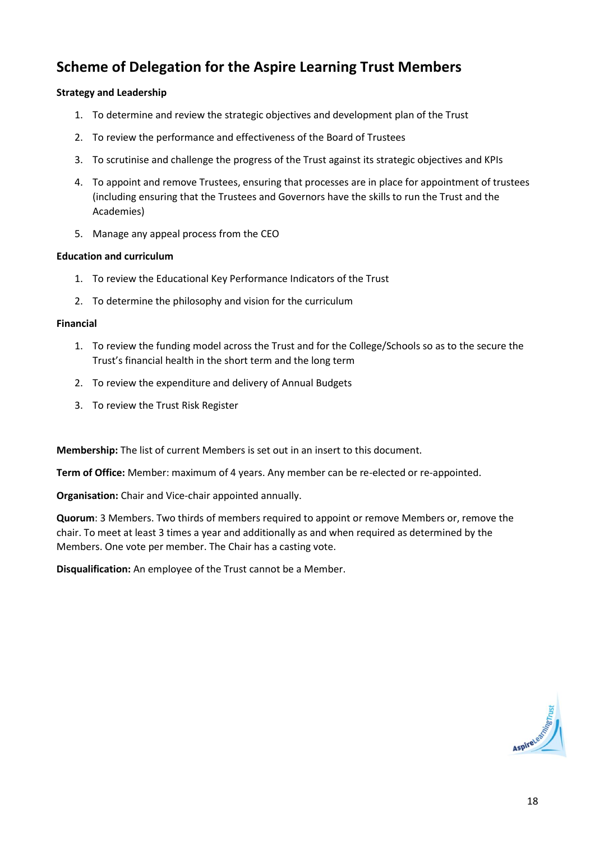# **Scheme of Delegation for the Aspire Learning Trust Members**

#### **Strategy and Leadership**

- 1. To determine and review the strategic objectives and development plan of the Trust
- 2. To review the performance and effectiveness of the Board of Trustees
- 3. To scrutinise and challenge the progress of the Trust against its strategic objectives and KPIs
- 4. To appoint and remove Trustees, ensuring that processes are in place for appointment of trustees (including ensuring that the Trustees and Governors have the skills to run the Trust and the Academies)
- 5. Manage any appeal process from the CEO

#### **Education and curriculum**

- 1. To review the Educational Key Performance Indicators of the Trust
- 2. To determine the philosophy and vision for the curriculum

#### **Financial**

- 1. To review the funding model across the Trust and for the College/Schools so as to the secure the Trust's financial health in the short term and the long term
- 2. To review the expenditure and delivery of Annual Budgets
- 3. To review the Trust Risk Register

**Membership:** The list of current Members is set out in an insert to this document.

**Term of Office:** Member: maximum of 4 years. Any member can be re-elected or re-appointed.

**Organisation:** Chair and Vice-chair appointed annually.

**Quorum**: 3 Members. Two thirds of members required to appoint or remove Members or, remove the chair. To meet at least 3 times a year and additionally as and when required as determined by the Members. One vote per member. The Chair has a casting vote.

**Disqualification:** An employee of the Trust cannot be a Member.

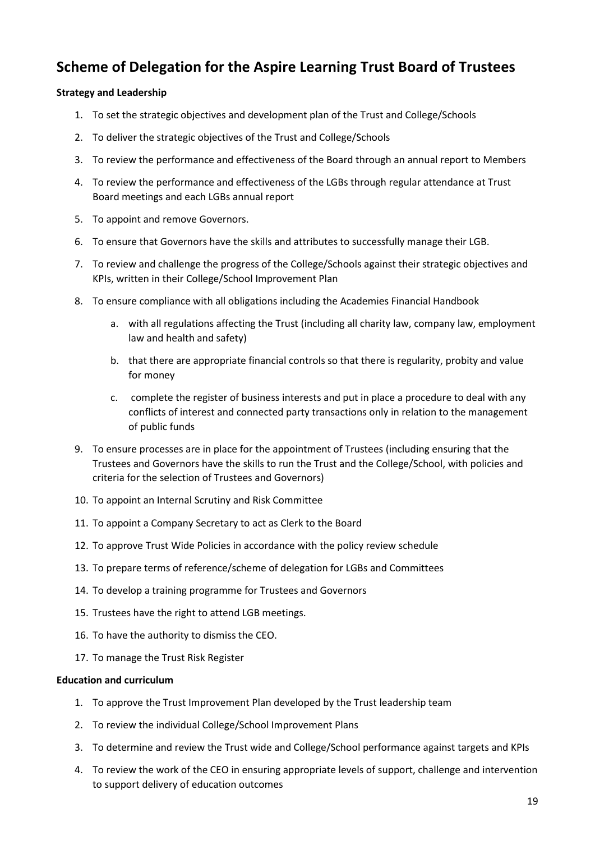## **Scheme of Delegation for the Aspire Learning Trust Board of Trustees**

#### **Strategy and Leadership**

- 1. To set the strategic objectives and development plan of the Trust and College/Schools
- 2. To deliver the strategic objectives of the Trust and College/Schools
- 3. To review the performance and effectiveness of the Board through an annual report to Members
- 4. To review the performance and effectiveness of the LGBs through regular attendance at Trust Board meetings and each LGBs annual report
- 5. To appoint and remove Governors.
- 6. To ensure that Governors have the skills and attributes to successfully manage their LGB.
- 7. To review and challenge the progress of the College/Schools against their strategic objectives and KPIs, written in their College/School Improvement Plan
- 8. To ensure compliance with all obligations including the Academies Financial Handbook
	- a. with all regulations affecting the Trust (including all charity law, company law, employment law and health and safety)
	- b. that there are appropriate financial controls so that there is regularity, probity and value for money
	- c. complete the register of business interests and put in place a procedure to deal with any conflicts of interest and connected party transactions only in relation to the management of public funds
- 9. To ensure processes are in place for the appointment of Trustees (including ensuring that the Trustees and Governors have the skills to run the Trust and the College/School, with policies and criteria for the selection of Trustees and Governors)
- 10. To appoint an Internal Scrutiny and Risk Committee
- 11. To appoint a Company Secretary to act as Clerk to the Board
- 12. To approve Trust Wide Policies in accordance with the policy review schedule
- 13. To prepare terms of reference/scheme of delegation for LGBs and Committees
- 14. To develop a training programme for Trustees and Governors
- 15. Trustees have the right to attend LGB meetings.
- 16. To have the authority to dismiss the CEO.
- 17. To manage the Trust Risk Register

#### **Education and curriculum**

- 1. To approve the Trust Improvement Plan developed by the Trust leadership team
- 2. To review the individual College/School Improvement Plans
- 3. To determine and review the Trust wide and College/School performance against targets and KPIs
- 4. To review the work of the CEO in ensuring appropriate levels of support, challenge and intervention to support delivery of education outcomes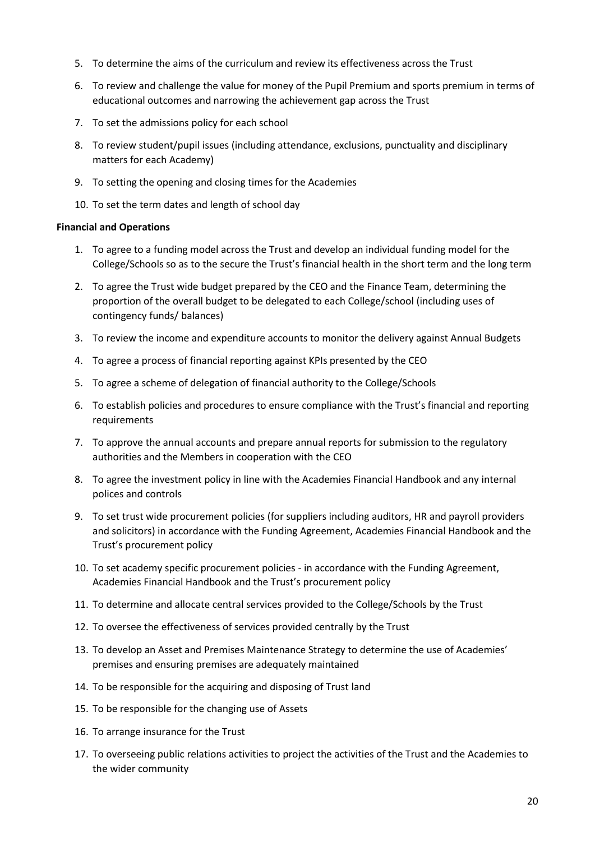- 5. To determine the aims of the curriculum and review its effectiveness across the Trust
- 6. To review and challenge the value for money of the Pupil Premium and sports premium in terms of educational outcomes and narrowing the achievement gap across the Trust
- 7. To set the admissions policy for each school
- 8. To review student/pupil issues (including attendance, exclusions, punctuality and disciplinary matters for each Academy)
- 9. To setting the opening and closing times for the Academies
- 10. To set the term dates and length of school day

#### **Financial and Operations**

- 1. To agree to a funding model across the Trust and develop an individual funding model for the College/Schools so as to the secure the Trust's financial health in the short term and the long term
- 2. To agree the Trust wide budget prepared by the CEO and the Finance Team, determining the proportion of the overall budget to be delegated to each College/school (including uses of contingency funds/ balances)
- 3. To review the income and expenditure accounts to monitor the delivery against Annual Budgets
- 4. To agree a process of financial reporting against KPIs presented by the CEO
- 5. To agree a scheme of delegation of financial authority to the College/Schools
- 6. To establish policies and procedures to ensure compliance with the Trust's financial and reporting requirements
- 7. To approve the annual accounts and prepare annual reports for submission to the regulatory authorities and the Members in cooperation with the CEO
- 8. To agree the investment policy in line with the Academies Financial Handbook and any internal polices and controls
- 9. To set trust wide procurement policies (for suppliers including auditors, HR and payroll providers and solicitors) in accordance with the Funding Agreement, Academies Financial Handbook and the Trust's procurement policy
- 10. To set academy specific procurement policies in accordance with the Funding Agreement, Academies Financial Handbook and the Trust's procurement policy
- 11. To determine and allocate central services provided to the College/Schools by the Trust
- 12. To oversee the effectiveness of services provided centrally by the Trust
- 13. To develop an Asset and Premises Maintenance Strategy to determine the use of Academies' premises and ensuring premises are adequately maintained
- 14. To be responsible for the acquiring and disposing of Trust land
- 15. To be responsible for the changing use of Assets
- 16. To arrange insurance for the Trust
- 17. To overseeing public relations activities to project the activities of the Trust and the Academies to the wider community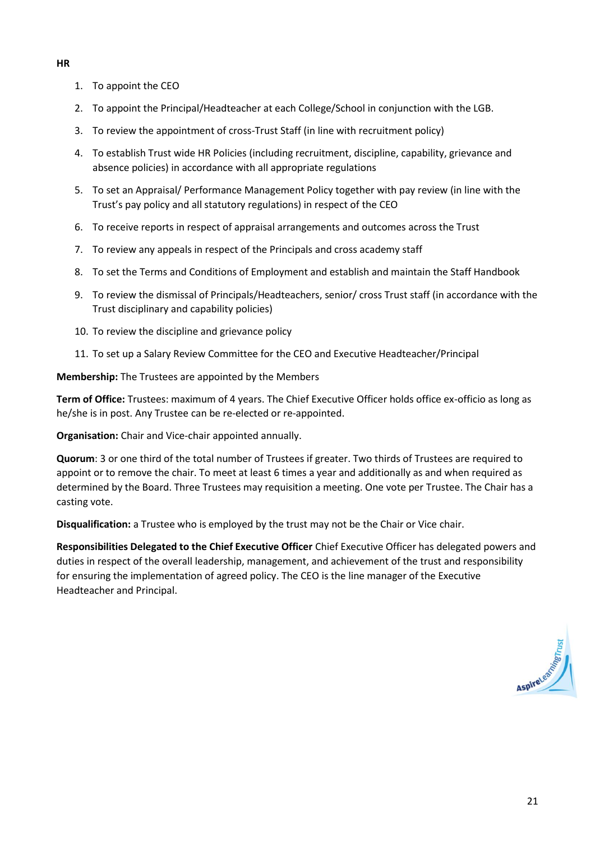- 1. To appoint the CEO
- 2. To appoint the Principal/Headteacher at each College/School in conjunction with the LGB.
- 3. To review the appointment of cross-Trust Staff (in line with recruitment policy)
- 4. To establish Trust wide HR Policies (including recruitment, discipline, capability, grievance and absence policies) in accordance with all appropriate regulations
- 5. To set an Appraisal/ Performance Management Policy together with pay review (in line with the Trust's pay policy and all statutory regulations) in respect of the CEO
- 6. To receive reports in respect of appraisal arrangements and outcomes across the Trust
- 7. To review any appeals in respect of the Principals and cross academy staff
- 8. To set the Terms and Conditions of Employment and establish and maintain the Staff Handbook
- 9. To review the dismissal of Principals/Headteachers, senior/ cross Trust staff (in accordance with the Trust disciplinary and capability policies)
- 10. To review the discipline and grievance policy
- 11. To set up a Salary Review Committee for the CEO and Executive Headteacher/Principal

**Membership:** The Trustees are appointed by the Members

**Term of Office:** Trustees: maximum of 4 years. The Chief Executive Officer holds office ex-officio as long as he/she is in post. Any Trustee can be re-elected or re-appointed.

**Organisation:** Chair and Vice-chair appointed annually.

**Quorum**: 3 or one third of the total number of Trustees if greater. Two thirds of Trustees are required to appoint or to remove the chair. To meet at least 6 times a year and additionally as and when required as determined by the Board. Three Trustees may requisition a meeting. One vote per Trustee. The Chair has a casting vote.

**Disqualification:** a Trustee who is employed by the trust may not be the Chair or Vice chair.

**Responsibilities Delegated to the Chief Executive Officer** Chief Executive Officer has delegated powers and duties in respect of the overall leadership, management, and achievement of the trust and responsibility for ensuring the implementation of agreed policy. The CEO is the line manager of the Executive Headteacher and Principal.

#### **HR**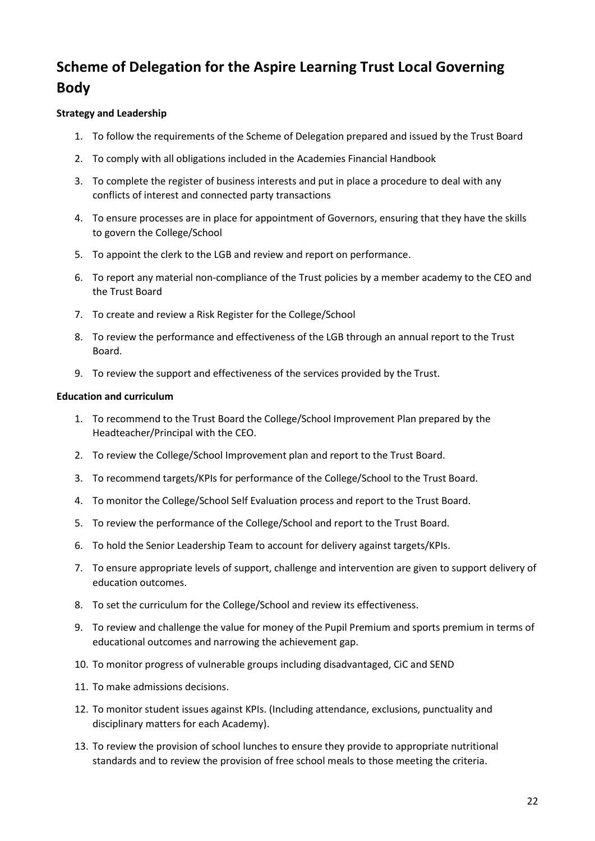# **Scheme of Delegation for the Aspire Learning Trust Local Governing Body**

#### **Strategy and Leadership**

- 1. To follow the requirements of the Scheme of Delegation prepared and issued by the Trust Board
- 2. To comply with all obligations included in the Academies Financial Handbook
- 3. To complete the register of business interests and put in place a procedure to deal with any conflicts of interest and connected party transactions
- 4. To ensure processes are in place for appointment of Governors, ensuring that they have the skills to govern the College/School
- 5. To appoint the clerk to the LGB and review and report on performance.
- 6. To report any material non-compliance of the Trust policies by a member academy to the CEO and the Trust Board
- 7. To create and review a Risk Register for the College/School
- 8. To review the performance and effectiveness of the LGB through an annual report to the Trust Board.
- 9. To review the support and effectiveness of the services provided by the Trust.

#### **Education and curriculum**

- 1. To recommend to the Trust Board the College/School Improvement Plan prepared by the Headteacher/Principal with the CEO.
- 2. To review the College/School Improvement plan and report to the Trust Board.
- 3. To recommend targets/KPIs for performance of the College/School to the Trust Board.
- 4. To monitor the College/School Self Evaluation process and report to the Trust Board.
- 5. To review the performance of the College/School and report to the Trust Board.
- 6. To hold the Senior Leadership Team to account for delivery against targets/KPIs.
- 7. To ensure appropriate levels of support, challenge and intervention are given to support delivery of education outcomes.
- 8. To set th*e* curriculum for the College/School and review its effectiveness.
- 9. To review and challenge the value for money of the Pupil Premium and sports premium in terms of educational outcomes and narrowing the achievement gap.
- 10. To monitor progress of vulnerable groups including disadvantaged, CiC and SEND
- 11. To make admissions decisions.
- 12. To monitor student issues against KPIs. (Including attendance, exclusions, punctuality and disciplinary matters for each Academy).
- 13. To review the provision of school lunches to ensure they provide to appropriate nutritional standards and to review the provision of free school meals to those meeting the criteria.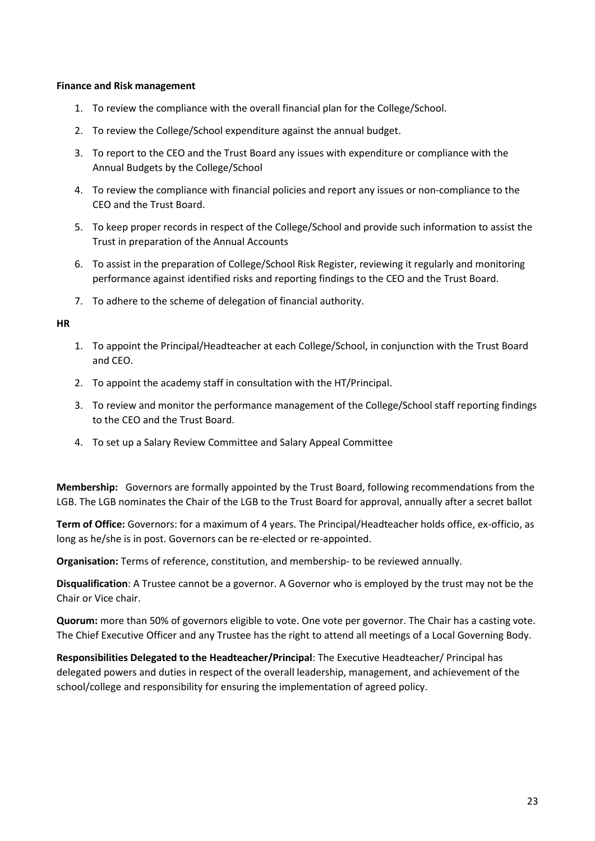#### **Finance and Risk management**

- 1. To review the compliance with the overall financial plan for the College/School.
- 2. To review the College/School expenditure against the annual budget.
- 3. To report to the CEO and the Trust Board any issues with expenditure or compliance with the Annual Budgets by the College/School
- 4. To review the compliance with financial policies and report any issues or non-compliance to the CEO and the Trust Board.
- 5. To keep proper records in respect of the College/School and provide such information to assist the Trust in preparation of the Annual Accounts
- 6. To assist in the preparation of College/School Risk Register, reviewing it regularly and monitoring performance against identified risks and reporting findings to the CEO and the Trust Board.
- 7. To adhere to the scheme of delegation of financial authority.

#### **HR**

- 1. To appoint the Principal/Headteacher at each College/School, in conjunction with the Trust Board and CEO.
- 2. To appoint the academy staff in consultation with the HT/Principal.
- 3. To review and monitor the performance management of the College/School staff reporting findings to the CEO and the Trust Board.
- 4. To set up a Salary Review Committee and Salary Appeal Committee

**Membership:** Governors are formally appointed by the Trust Board, following recommendations from the LGB. The LGB nominates the Chair of the LGB to the Trust Board for approval, annually after a secret ballot

**Term of Office:** Governors: for a maximum of 4 years. The Principal/Headteacher holds office, ex-officio, as long as he/she is in post. Governors can be re-elected or re-appointed.

**Organisation:** Terms of reference, constitution, and membership- to be reviewed annually.

**Disqualification**: A Trustee cannot be a governor. A Governor who is employed by the trust may not be the Chair or Vice chair.

**Quorum:** more than 50% of governors eligible to vote. One vote per governor. The Chair has a casting vote. The Chief Executive Officer and any Trustee has the right to attend all meetings of a Local Governing Body.

**Responsibilities Delegated to the Headteacher/Principal**: The Executive Headteacher/ Principal has delegated powers and duties in respect of the overall leadership, management, and achievement of the school/college and responsibility for ensuring the implementation of agreed policy.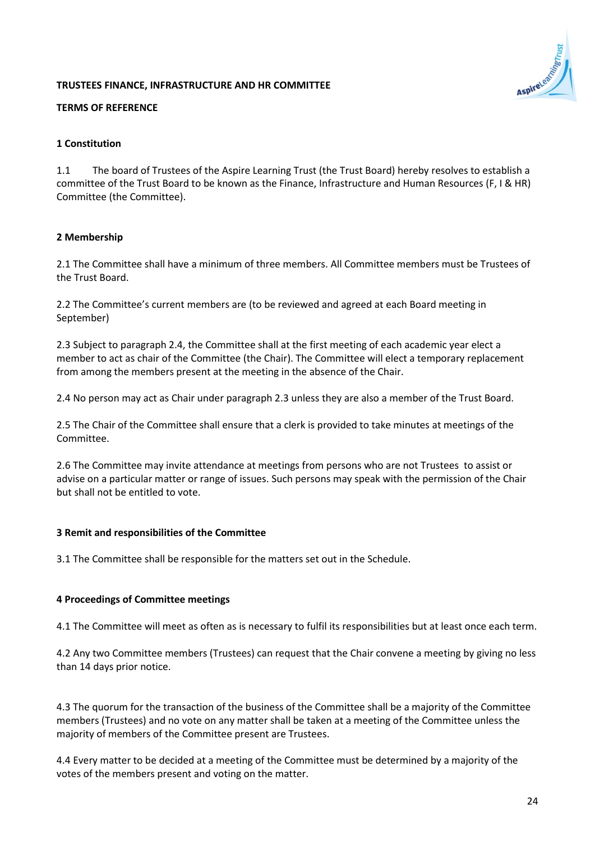### **TRUSTEES FINANCE, INFRASTRUCTURE AND HR COMMITTEE**

### **TERMS OF REFERENCE**

#### **1 Constitution**

1.1 The board of Trustees of the Aspire Learning Trust (the Trust Board) hereby resolves to establish a committee of the Trust Board to be known as the Finance, Infrastructure and Human Resources (F, I & HR) Committee (the Committee).

### **2 Membership**

2.1 The Committee shall have a minimum of three members. All Committee members must be Trustees of the Trust Board.

2.2 The Committee's current members are (to be reviewed and agreed at each Board meeting in September)

2.3 Subject to paragraph 2.4, the Committee shall at the first meeting of each academic year elect a member to act as chair of the Committee (the Chair). The Committee will elect a temporary replacement from among the members present at the meeting in the absence of the Chair.

2.4 No person may act as Chair under paragraph 2.3 unless they are also a member of the Trust Board.

2.5 The Chair of the Committee shall ensure that a clerk is provided to take minutes at meetings of the Committee.

2.6 The Committee may invite attendance at meetings from persons who are not Trustees to assist or advise on a particular matter or range of issues. Such persons may speak with the permission of the Chair but shall not be entitled to vote.

#### **3 Remit and responsibilities of the Committee**

3.1 The Committee shall be responsible for the matters set out in the Schedule.

#### **4 Proceedings of Committee meetings**

4.1 The Committee will meet as often as is necessary to fulfil its responsibilities but at least once each term.

4.2 Any two Committee members (Trustees) can request that the Chair convene a meeting by giving no less than 14 days prior notice.

4.3 The quorum for the transaction of the business of the Committee shall be a majority of the Committee members (Trustees) and no vote on any matter shall be taken at a meeting of the Committee unless the majority of members of the Committee present are Trustees.

4.4 Every matter to be decided at a meeting of the Committee must be determined by a majority of the votes of the members present and voting on the matter.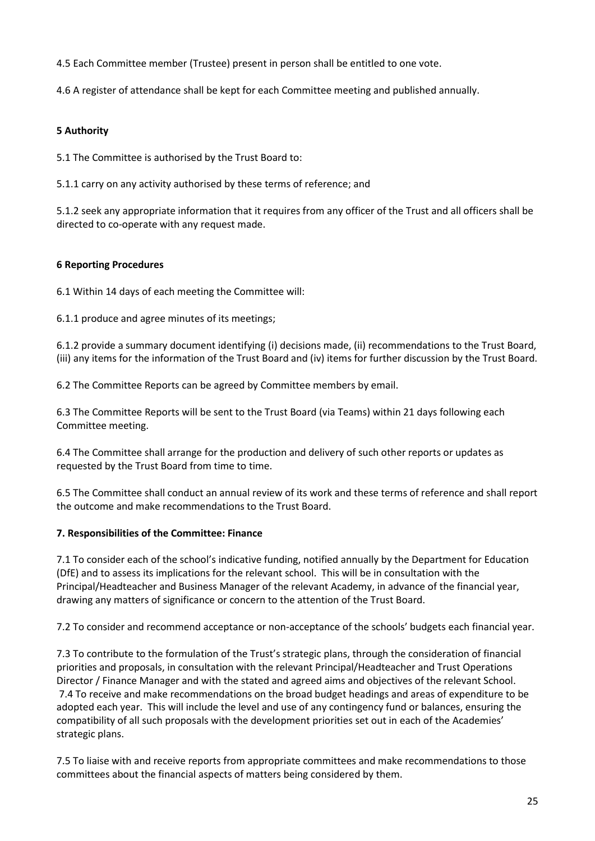4.5 Each Committee member (Trustee) present in person shall be entitled to one vote.

4.6 A register of attendance shall be kept for each Committee meeting and published annually.

### **5 Authority**

5.1 The Committee is authorised by the Trust Board to:

5.1.1 carry on any activity authorised by these terms of reference; and

5.1.2 seek any appropriate information that it requires from any officer of the Trust and all officers shall be directed to co-operate with any request made.

### **6 Reporting Procedures**

6.1 Within 14 days of each meeting the Committee will:

6.1.1 produce and agree minutes of its meetings;

6.1.2 provide a summary document identifying (i) decisions made, (ii) recommendations to the Trust Board, (iii) any items for the information of the Trust Board and (iv) items for further discussion by the Trust Board.

6.2 The Committee Reports can be agreed by Committee members by email.

6.3 The Committee Reports will be sent to the Trust Board (via Teams) within 21 days following each Committee meeting.

6.4 The Committee shall arrange for the production and delivery of such other reports or updates as requested by the Trust Board from time to time.

6.5 The Committee shall conduct an annual review of its work and these terms of reference and shall report the outcome and make recommendations to the Trust Board.

#### **7. Responsibilities of the Committee: Finance**

7.1 To consider each of the school's indicative funding, notified annually by the Department for Education (DfE) and to assess its implications for the relevant school. This will be in consultation with the Principal/Headteacher and Business Manager of the relevant Academy, in advance of the financial year, drawing any matters of significance or concern to the attention of the Trust Board.

7.2 To consider and recommend acceptance or non-acceptance of the schools' budgets each financial year.

7.3 To contribute to the formulation of the Trust's strategic plans, through the consideration of financial priorities and proposals, in consultation with the relevant Principal/Headteacher and Trust Operations Director / Finance Manager and with the stated and agreed aims and objectives of the relevant School. 7.4 To receive and make recommendations on the broad budget headings and areas of expenditure to be adopted each year. This will include the level and use of any contingency fund or balances, ensuring the compatibility of all such proposals with the development priorities set out in each of the Academies' strategic plans.

7.5 To liaise with and receive reports from appropriate committees and make recommendations to those committees about the financial aspects of matters being considered by them.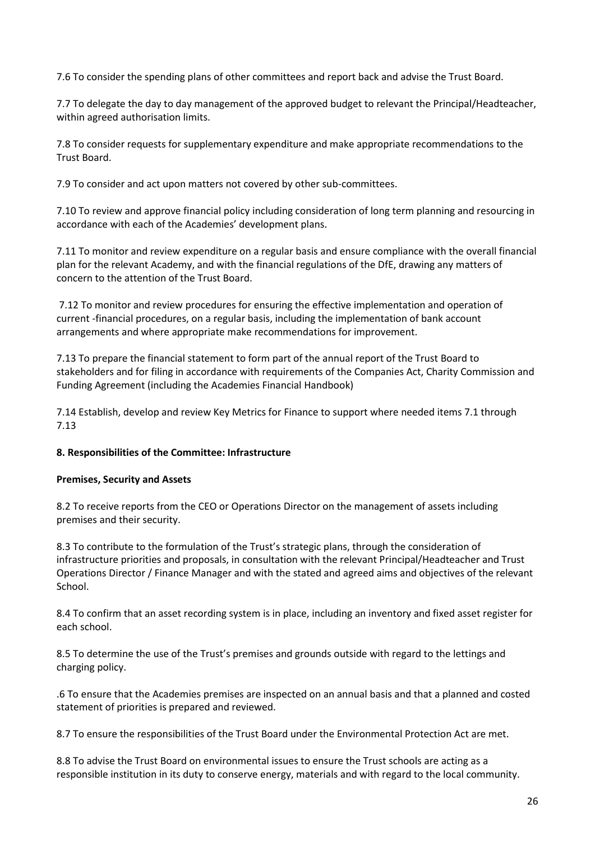7.6 To consider the spending plans of other committees and report back and advise the Trust Board.

7.7 To delegate the day to day management of the approved budget to relevant the Principal/Headteacher, within agreed authorisation limits.

7.8 To consider requests for supplementary expenditure and make appropriate recommendations to the Trust Board.

7.9 To consider and act upon matters not covered by other sub-committees.

7.10 To review and approve financial policy including consideration of long term planning and resourcing in accordance with each of the Academies' development plans.

7.11 To monitor and review expenditure on a regular basis and ensure compliance with the overall financial plan for the relevant Academy, and with the financial regulations of the DfE, drawing any matters of concern to the attention of the Trust Board.

7.12 To monitor and review procedures for ensuring the effective implementation and operation of current -financial procedures, on a regular basis, including the implementation of bank account arrangements and where appropriate make recommendations for improvement.

7.13 To prepare the financial statement to form part of the annual report of the Trust Board to stakeholders and for filing in accordance with requirements of the Companies Act, Charity Commission and Funding Agreement (including the Academies Financial Handbook)

7.14 Establish, develop and review Key Metrics for Finance to support where needed items 7.1 through 7.13

#### **8. Responsibilities of the Committee: Infrastructure**

#### **Premises, Security and Assets**

8.2 To receive reports from the CEO or Operations Director on the management of assets including premises and their security.

8.3 To contribute to the formulation of the Trust's strategic plans, through the consideration of infrastructure priorities and proposals, in consultation with the relevant Principal/Headteacher and Trust Operations Director / Finance Manager and with the stated and agreed aims and objectives of the relevant School.

8.4 To confirm that an asset recording system is in place, including an inventory and fixed asset register for each school.

8.5 To determine the use of the Trust's premises and grounds outside with regard to the lettings and charging policy.

.6 To ensure that the Academies premises are inspected on an annual basis and that a planned and costed statement of priorities is prepared and reviewed.

8.7 To ensure the responsibilities of the Trust Board under the Environmental Protection Act are met.

8.8 To advise the Trust Board on environmental issues to ensure the Trust schools are acting as a responsible institution in its duty to conserve energy, materials and with regard to the local community.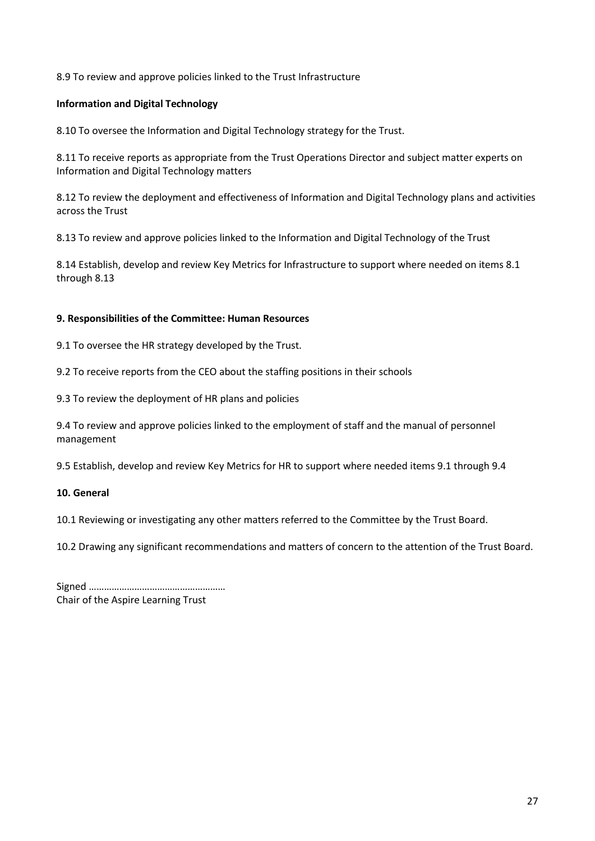8.9 To review and approve policies linked to the Trust Infrastructure

#### **Information and Digital Technology**

8.10 To oversee the Information and Digital Technology strategy for the Trust.

8.11 To receive reports as appropriate from the Trust Operations Director and subject matter experts on Information and Digital Technology matters

8.12 To review the deployment and effectiveness of Information and Digital Technology plans and activities across the Trust

8.13 To review and approve policies linked to the Information and Digital Technology of the Trust

8.14 Establish, develop and review Key Metrics for Infrastructure to support where needed on items 8.1 through 8.13

#### **9. Responsibilities of the Committee: Human Resources**

9.1 To oversee the HR strategy developed by the Trust.

9.2 To receive reports from the CEO about the staffing positions in their schools

9.3 To review the deployment of HR plans and policies

9.4 To review and approve policies linked to the employment of staff and the manual of personnel management

9.5 Establish, develop and review Key Metrics for HR to support where needed items 9.1 through 9.4

#### **10. General**

10.1 Reviewing or investigating any other matters referred to the Committee by the Trust Board.

10.2 Drawing any significant recommendations and matters of concern to the attention of the Trust Board.

| Chair of the Aspire Learning Trust |
|------------------------------------|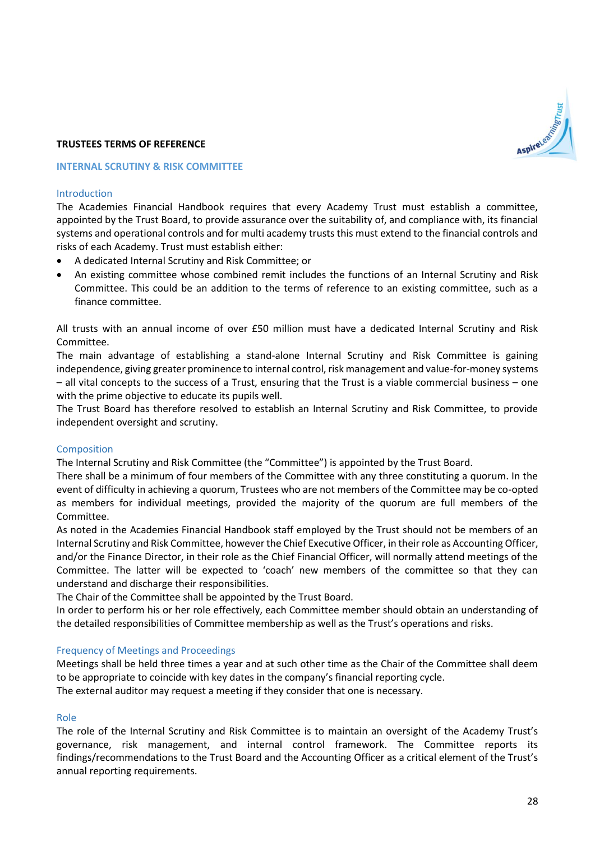#### **TRUSTEES TERMS OF REFERENCE**

#### **INTERNAL SCRUTINY & RISK COMMITTEE**

#### Introduction

The Academies Financial Handbook requires that every Academy Trust must establish a committee, appointed by the Trust Board, to provide assurance over the suitability of, and compliance with, its financial systems and operational controls and for multi academy trusts this must extend to the financial controls and risks of each Academy. Trust must establish either:

- A dedicated Internal Scrutiny and Risk Committee; or
- An existing committee whose combined remit includes the functions of an Internal Scrutiny and Risk Committee. This could be an addition to the terms of reference to an existing committee, such as a finance committee.

All trusts with an annual income of over £50 million must have a dedicated Internal Scrutiny and Risk Committee.

The main advantage of establishing a stand-alone Internal Scrutiny and Risk Committee is gaining independence, giving greater prominence to internal control, risk management and value-for-money systems – all vital concepts to the success of a Trust, ensuring that the Trust is a viable commercial business – one with the prime objective to educate its pupils well.

The Trust Board has therefore resolved to establish an Internal Scrutiny and Risk Committee, to provide independent oversight and scrutiny.

#### Composition

The Internal Scrutiny and Risk Committee (the "Committee") is appointed by the Trust Board.

There shall be a minimum of four members of the Committee with any three constituting a quorum. In the event of difficulty in achieving a quorum, Trustees who are not members of the Committee may be co-opted as members for individual meetings, provided the majority of the quorum are full members of the Committee.

As noted in the Academies Financial Handbook staff employed by the Trust should not be members of an Internal Scrutiny and Risk Committee, however the Chief Executive Officer, in their role as Accounting Officer, and/or the Finance Director, in their role as the Chief Financial Officer, will normally attend meetings of the Committee. The latter will be expected to 'coach' new members of the committee so that they can understand and discharge their responsibilities.

The Chair of the Committee shall be appointed by the Trust Board.

In order to perform his or her role effectively, each Committee member should obtain an understanding of the detailed responsibilities of Committee membership as well as the Trust's operations and risks.

#### Frequency of Meetings and Proceedings

Meetings shall be held three times a year and at such other time as the Chair of the Committee shall deem to be appropriate to coincide with key dates in the company's financial reporting cycle. The external auditor may request a meeting if they consider that one is necessary.

#### Role

The role of the Internal Scrutiny and Risk Committee is to maintain an oversight of the Academy Trust's governance, risk management, and internal control framework. The Committee reports its findings/recommendations to the Trust Board and the Accounting Officer as a critical element of the Trust's annual reporting requirements.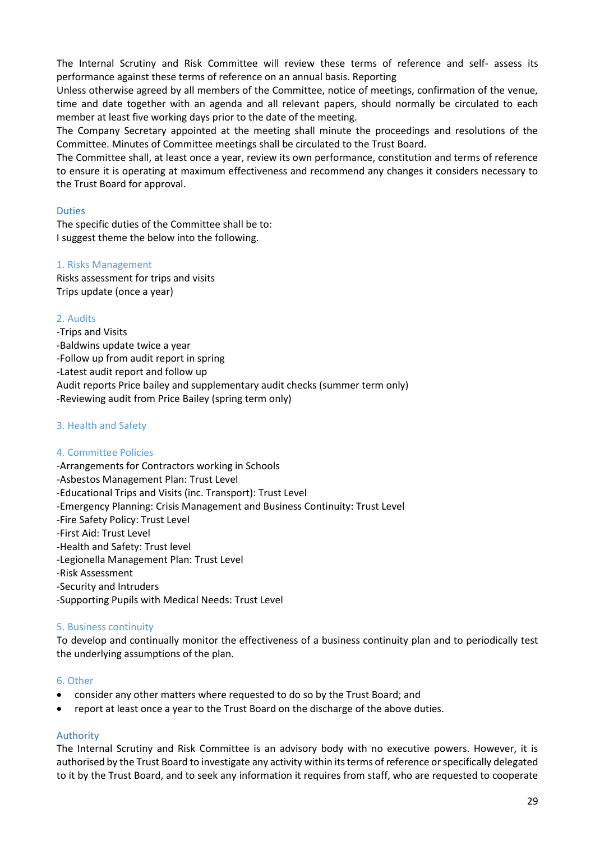The Internal Scrutiny and Risk Committee will review these terms of reference and self- assess its performance against these terms of reference on an annual basis. Reporting

Unless otherwise agreed by all members of the Committee, notice of meetings, confirmation of the venue, time and date together with an agenda and all relevant papers, should normally be circulated to each member at least five working days prior to the date of the meeting.

The Company Secretary appointed at the meeting shall minute the proceedings and resolutions of the Committee. Minutes of Committee meetings shall be circulated to the Trust Board.

The Committee shall, at least once a year, review its own performance, constitution and terms of reference to ensure it is operating at maximum effectiveness and recommend any changes it considers necessary to the Trust Board for approval.

#### Duties

The specific duties of the Committee shall be to: I suggest theme the below into the following.

#### 1. Risks Management

Risks assessment for trips and visits Trips update (once a year)

#### 2. Audits

-Trips and Visits -Baldwins update twice a year -Follow up from audit report in spring -Latest audit report and follow up Audit reports Price bailey and supplementary audit checks (summer term only) -Reviewing audit from Price Bailey (spring term only)

#### 3. Health and Safety

#### 4. Committee Policies

-Arrangements for Contractors working in Schools -Asbestos Management Plan: Trust Level -Educational Trips and Visits (inc. Transport): Trust Level -Emergency Planning: Crisis Management and Business Continuity: Trust Level -Fire Safety Policy: Trust Level -First Aid: Trust Level -Health and Safety: Trust level -Legionella Management Plan: Trust Level -Risk Assessment -Security and Intruders -Supporting Pupils with Medical Needs: Trust Level

#### 5. Business continuity

To develop and continually monitor the effectiveness of a business continuity plan and to periodically test the underlying assumptions of the plan.

#### 6. Other

- consider any other matters where requested to do so by the Trust Board; and
- report at least once a year to the Trust Board on the discharge of the above duties.

#### Authority

The Internal Scrutiny and Risk Committee is an advisory body with no executive powers. However, it is authorised by the Trust Board to investigate any activity within its terms of reference or specifically delegated to it by the Trust Board, and to seek any information it requires from staff, who are requested to cooperate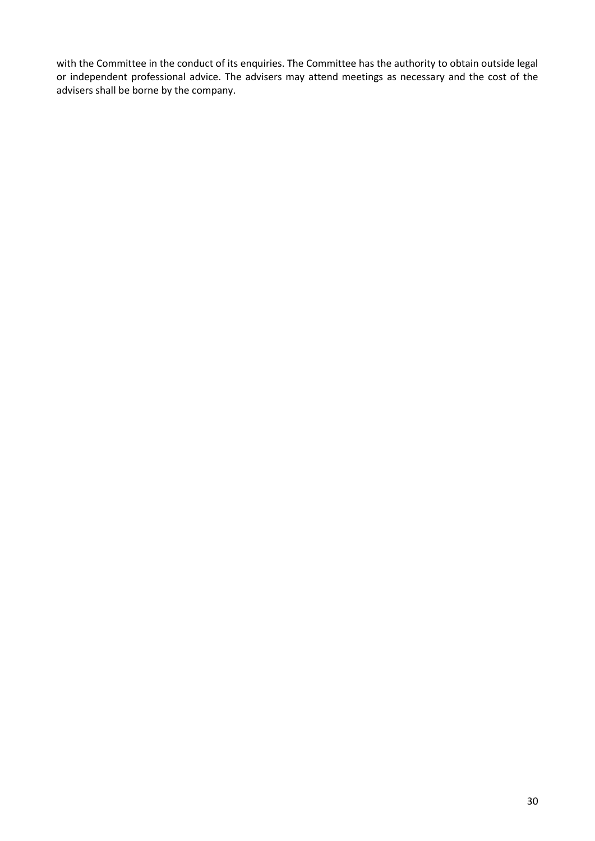with the Committee in the conduct of its enquiries. The Committee has the authority to obtain outside legal or independent professional advice. The advisers may attend meetings as necessary and the cost of the advisers shall be borne by the company.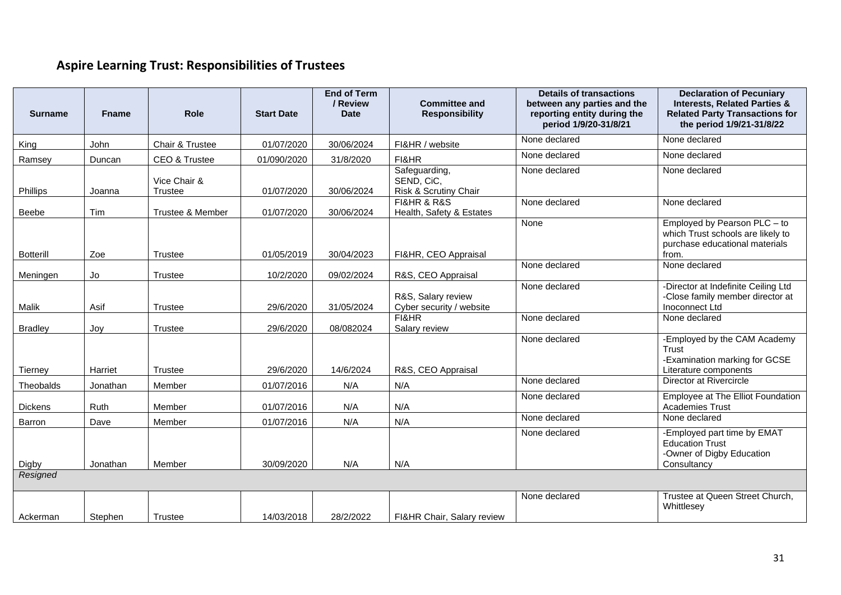# **Aspire Learning Trust: Responsibilities of Trustees**

| <b>Surname</b>   | <b>Fname</b> | Role                           | <b>Start Date</b> | <b>End of Term</b><br>/ Review<br><b>Date</b> | <b>Committee and</b><br><b>Responsibility</b>        | <b>Details of transactions</b><br>between any parties and the<br>reporting entity during the<br>period 1/9/20-31/8/21 | <b>Declaration of Pecuniary</b><br><b>Interests, Related Parties &amp;</b><br><b>Related Party Transactions for</b><br>the period 1/9/21-31/8/22 |
|------------------|--------------|--------------------------------|-------------------|-----------------------------------------------|------------------------------------------------------|-----------------------------------------------------------------------------------------------------------------------|--------------------------------------------------------------------------------------------------------------------------------------------------|
| King             | John         | Chair & Trustee                | 01/07/2020        | 30/06/2024                                    | FI&HR / website                                      | None declared                                                                                                         | None declared                                                                                                                                    |
| Ramsey           | Duncan       | CEO & Trustee                  | 01/090/2020       | 31/8/2020                                     | FI&HR                                                | None declared                                                                                                         | None declared                                                                                                                                    |
| Phillips         | Joanna       | Vice Chair &<br><b>Trustee</b> | 01/07/2020        | 30/06/2024                                    | Safeguarding,<br>SEND, CiC,<br>Risk & Scrutiny Chair | None declared                                                                                                         | None declared                                                                                                                                    |
| Beebe            | Tim          | Trustee & Member               | 01/07/2020        | 30/06/2024                                    | FI&HR & R&S<br>Health, Safety & Estates              | None declared                                                                                                         | None declared                                                                                                                                    |
| <b>Botterill</b> | Zoe          | <b>Trustee</b>                 | 01/05/2019        | 30/04/2023                                    | FI&HR, CEO Appraisal                                 | None                                                                                                                  | Employed by Pearson PLC - to<br>which Trust schools are likely to<br>purchase educational materials<br>from.                                     |
| Meningen         | Jo           | Trustee                        | 10/2/2020         | 09/02/2024                                    | R&S, CEO Appraisal                                   | None declared                                                                                                         | None declared                                                                                                                                    |
| <b>Malik</b>     | Asif         | <b>Trustee</b>                 | 29/6/2020         | 31/05/2024                                    | R&S, Salary review<br>Cyber security / website       | None declared                                                                                                         | -Director at Indefinite Ceiling Ltd<br>-Close family member director at<br>Inoconnect Ltd                                                        |
| <b>Bradley</b>   | Joy          | <b>Trustee</b>                 | 29/6/2020         | 08/082024                                     | FI&HR<br>Salary review                               | None declared                                                                                                         | None declared                                                                                                                                    |
| <b>Tierney</b>   | Harriet      | Trustee                        | 29/6/2020         | 14/6/2024                                     | R&S, CEO Appraisal                                   | None declared                                                                                                         | -Employed by the CAM Academy<br>Trust<br>-Examination marking for GCSE<br>Literature components                                                  |
| Theobalds        | Jonathan     | Member                         | 01/07/2016        | N/A                                           | N/A                                                  | None declared                                                                                                         | Director at Rivercircle                                                                                                                          |
| Dickens          | Ruth         | Member                         | 01/07/2016        | N/A                                           | N/A                                                  | None declared                                                                                                         | Employee at The Elliot Foundation<br><b>Academies Trust</b>                                                                                      |
| Barron           | Dave         | Member                         | 01/07/2016        | N/A                                           | N/A                                                  | None declared                                                                                                         | None declared                                                                                                                                    |
| Digby            | Jonathan     | Member                         | 30/09/2020        | N/A                                           | N/A                                                  | None declared                                                                                                         | -Employed part time by EMAT<br><b>Education Trust</b><br>-Owner of Digby Education<br>Consultancy                                                |
| Resigned         |              |                                |                   |                                               |                                                      |                                                                                                                       |                                                                                                                                                  |
| Ackerman         | Stephen      | Trustee                        | 14/03/2018        | 28/2/2022                                     | FI&HR Chair, Salary review                           | None declared                                                                                                         | Trustee at Queen Street Church,<br>Whittlesey                                                                                                    |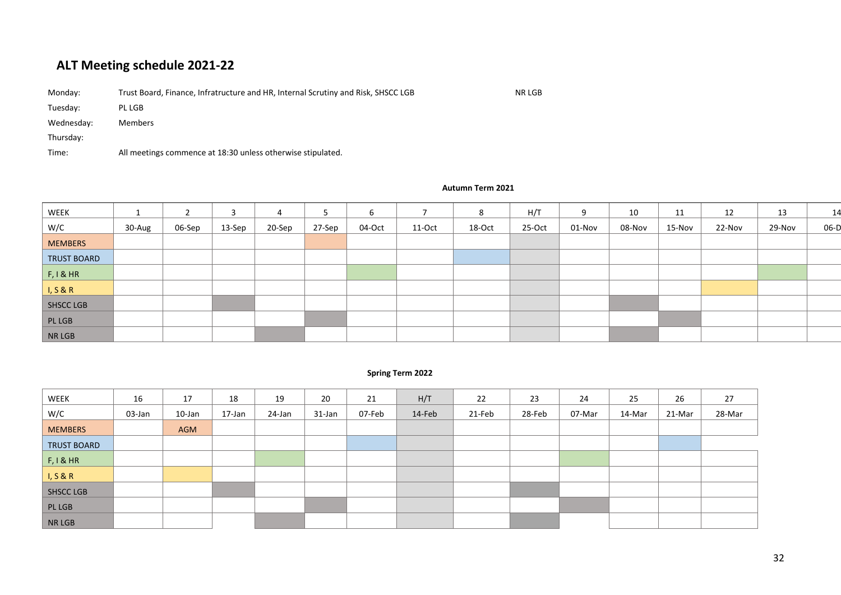# **ALT Meeting schedule 2021-22**

| Monday:    | Trust Board, Finance, Infratructure and HR, Internal Scrutiny and Risk, SHSCC LGB | NR LGB |
|------------|-----------------------------------------------------------------------------------|--------|
| Tuesday:   | PL LGB                                                                            |        |
| Wednesday: | Members                                                                           |        |
| Thursday:  |                                                                                   |        |
| Time:      | All meetings commence at 18:30 unless otherwise stipulated.                       |        |

| WEEK               |        |        | -3     | 4      | 5      | 6      |        | 8      | H/T    | 9      | 10     | 11     | 12     | 13     | 14   |
|--------------------|--------|--------|--------|--------|--------|--------|--------|--------|--------|--------|--------|--------|--------|--------|------|
| W/C                | 30-Aug | 06-Sep | 13-Sep | 20-Sep | 27-Sep | 04-Oct | 11-Oct | 18-Oct | 25-Oct | 01-Nov | 08-Nov | 15-Nov | 22-Nov | 29-Nov | 06-D |
| <b>MEMBERS</b>     |        |        |        |        |        |        |        |        |        |        |        |        |        |        |      |
| <b>TRUST BOARD</b> |        |        |        |        |        |        |        |        |        |        |        |        |        |        |      |
| F, I & HR          |        |        |        |        |        |        |        |        |        |        |        |        |        |        |      |
| I, S & R           |        |        |        |        |        |        |        |        |        |        |        |        |        |        |      |
| SHSCC LGB          |        |        |        |        |        |        |        |        |        |        |        |        |        |        |      |
| PLLGB              |        |        |        |        |        |        |        |        |        |        |        |        |        |        |      |
| NR LGB             |        |        |        |        |        |        |        |        |        |        |        |        |        |        |      |

#### **Spring Term 2022**

| WEEK               | 16     | 17         | 18     | 19     | 20     | 21     | H/T    | 22     | 23     | 24     | 25     | 26     | 27     |
|--------------------|--------|------------|--------|--------|--------|--------|--------|--------|--------|--------|--------|--------|--------|
| W/C                | 03-Jan | 10-Jan     | 17-Jan | 24-Jan | 31-Jan | 07-Feb | 14-Feb | 21-Feb | 28-Feb | 07-Mar | 14-Mar | 21-Mar | 28-Mar |
| <b>MEMBERS</b>     |        | <b>AGM</b> |        |        |        |        |        |        |        |        |        |        |        |
| <b>TRUST BOARD</b> |        |            |        |        |        |        |        |        |        |        |        |        |        |
| F, I & HR          |        |            |        |        |        |        |        |        |        |        |        |        |        |
| I, S & R           |        |            |        |        |        |        |        |        |        |        |        |        |        |
| <b>SHSCC LGB</b>   |        |            |        |        |        |        |        |        |        |        |        |        |        |
| PL LGB             |        |            |        |        |        |        |        |        |        |        |        |        |        |
| NR LGB             |        |            |        |        |        |        |        |        |        |        |        |        |        |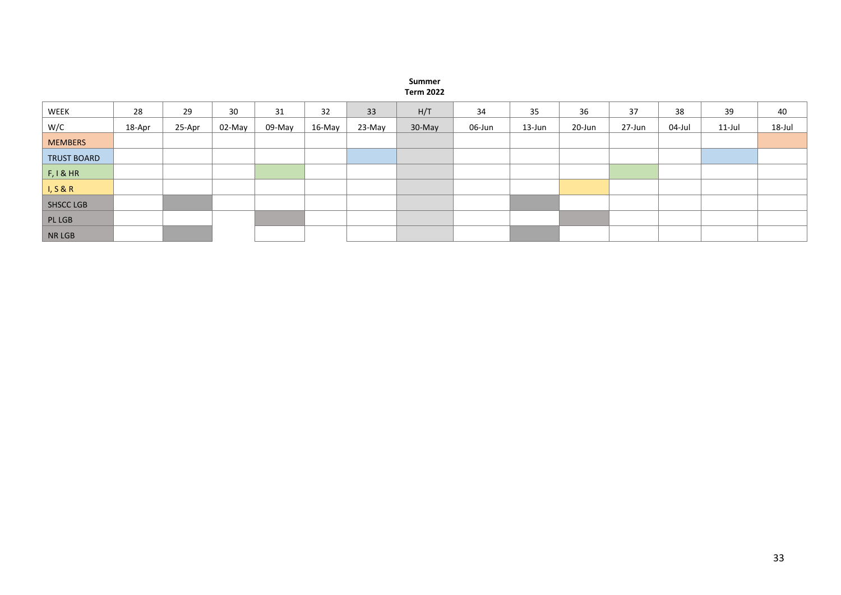#### **Summer Term 2022**

| WEEK               | 28     | 29     | 30     | 31     | 32     | 33     | H/T    | 34     | 35     | 36     | 37     | 38     | 39        | 40     |
|--------------------|--------|--------|--------|--------|--------|--------|--------|--------|--------|--------|--------|--------|-----------|--------|
| W/C                | 18-Apr | 25-Apr | 02-May | 09-May | 16-May | 23-May | 30-May | 06-Jun | 13-Jun | 20-Jun | 27-Jun | 04-Jul | $11$ -Jul | 18-Jul |
| <b>MEMBERS</b>     |        |        |        |        |        |        |        |        |        |        |        |        |           |        |
| <b>TRUST BOARD</b> |        |        |        |        |        |        |        |        |        |        |        |        |           |        |
| F, I & HR          |        |        |        |        |        |        |        |        |        |        |        |        |           |        |
| I, S & R           |        |        |        |        |        |        |        |        |        |        |        |        |           |        |
| SHSCC LGB          |        |        |        |        |        |        |        |        |        |        |        |        |           |        |
| PL LGB             |        |        |        |        |        |        |        |        |        |        |        |        |           |        |
| <b>NR LGB</b>      |        |        |        |        |        |        |        |        |        |        |        |        |           |        |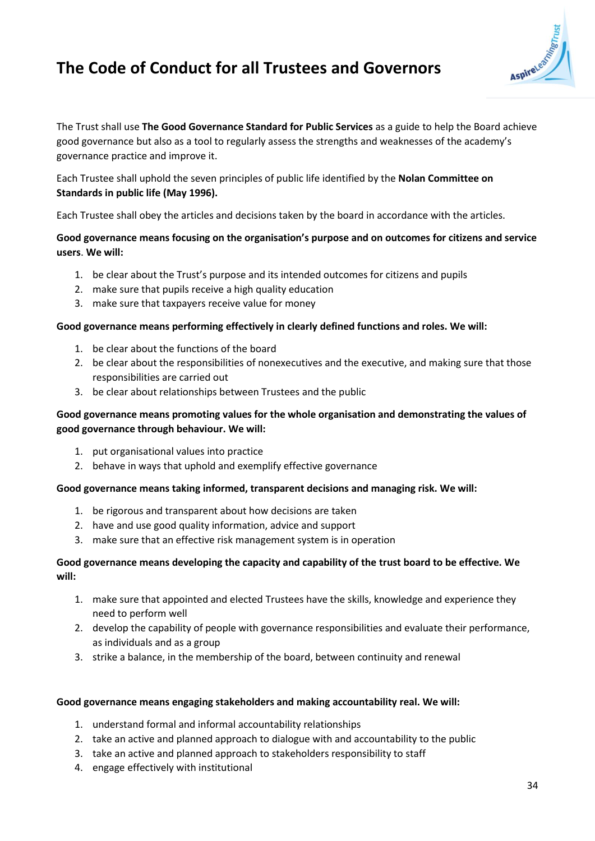# **The Code of Conduct for all Trustees and Governors**



The Trust shall use **The Good Governance Standard for Public Services** as a guide to help the Board achieve good governance but also as a tool to regularly assess the strengths and weaknesses of the academy's governance practice and improve it.

Each Trustee shall uphold the seven principles of public life identified by the **Nolan Committee on Standards in public life (May 1996).**

Each Trustee shall obey the articles and decisions taken by the board in accordance with the articles.

#### **Good governance means focusing on the organisation's purpose and on outcomes for citizens and service users**. **We will:**

- 1. be clear about the Trust's purpose and its intended outcomes for citizens and pupils
- 2. make sure that pupils receive a high quality education
- 3. make sure that taxpayers receive value for money

#### **Good governance means performing effectively in clearly defined functions and roles. We will:**

- 1. be clear about the functions of the board
- 2. be clear about the responsibilities of nonexecutives and the executive, and making sure that those responsibilities are carried out
- 3. be clear about relationships between Trustees and the public

#### **Good governance means promoting values for the whole organisation and demonstrating the values of good governance through behaviour. We will:**

- 1. put organisational values into practice
- 2. behave in ways that uphold and exemplify effective governance

#### **Good governance means taking informed, transparent decisions and managing risk. We will:**

- 1. be rigorous and transparent about how decisions are taken
- 2. have and use good quality information, advice and support
- 3. make sure that an effective risk management system is in operation

#### **Good governance means developing the capacity and capability of the trust board to be effective. We will:**

- 1. make sure that appointed and elected Trustees have the skills, knowledge and experience they need to perform well
- 2. develop the capability of people with governance responsibilities and evaluate their performance, as individuals and as a group
- 3. strike a balance, in the membership of the board, between continuity and renewal

#### **Good governance means engaging stakeholders and making accountability real. We will:**

- 1. understand formal and informal accountability relationships
- 2. take an active and planned approach to dialogue with and accountability to the public
- 3. take an active and planned approach to stakeholders responsibility to staff
- 4. engage effectively with institutional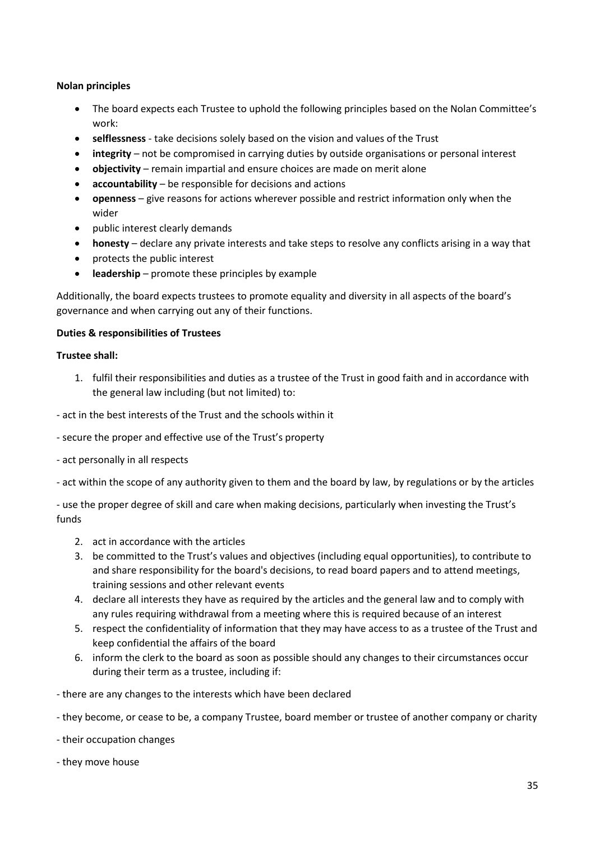#### **Nolan principles**

- The board expects each Trustee to uphold the following principles based on the Nolan Committee's work:
- **selflessness**  take decisions solely based on the vision and values of the Trust
- **integrity**  not be compromised in carrying duties by outside organisations or personal interest
- **objectivity** remain impartial and ensure choices are made on merit alone
- **accountability**  be responsible for decisions and actions
- **openness**  give reasons for actions wherever possible and restrict information only when the wider
- public interest clearly demands
- **honesty** declare any private interests and take steps to resolve any conflicts arising in a way that
- protects the public interest
- **leadership**  promote these principles by example

Additionally, the board expects trustees to promote equality and diversity in all aspects of the board's governance and when carrying out any of their functions.

#### **Duties & responsibilities of Trustees**

#### **Trustee shall:**

1. fulfil their responsibilities and duties as a trustee of the Trust in good faith and in accordance with the general law including (but not limited) to:

- act in the best interests of the Trust and the schools within it

- secure the proper and effective use of the Trust's property
- act personally in all respects

- act within the scope of any authority given to them and the board by law, by regulations or by the articles

- use the proper degree of skill and care when making decisions, particularly when investing the Trust's funds

- 2. act in accordance with the articles
- 3. be committed to the Trust's values and objectives (including equal opportunities), to contribute to and share responsibility for the board's decisions, to read board papers and to attend meetings, training sessions and other relevant events
- 4. declare all interests they have as required by the articles and the general law and to comply with any rules requiring withdrawal from a meeting where this is required because of an interest
- 5. respect the confidentiality of information that they may have access to as a trustee of the Trust and keep confidential the affairs of the board
- 6. inform the clerk to the board as soon as possible should any changes to their circumstances occur during their term as a trustee, including if:
- there are any changes to the interests which have been declared
- they become, or cease to be, a company Trustee, board member or trustee of another company or charity
- their occupation changes
- they move house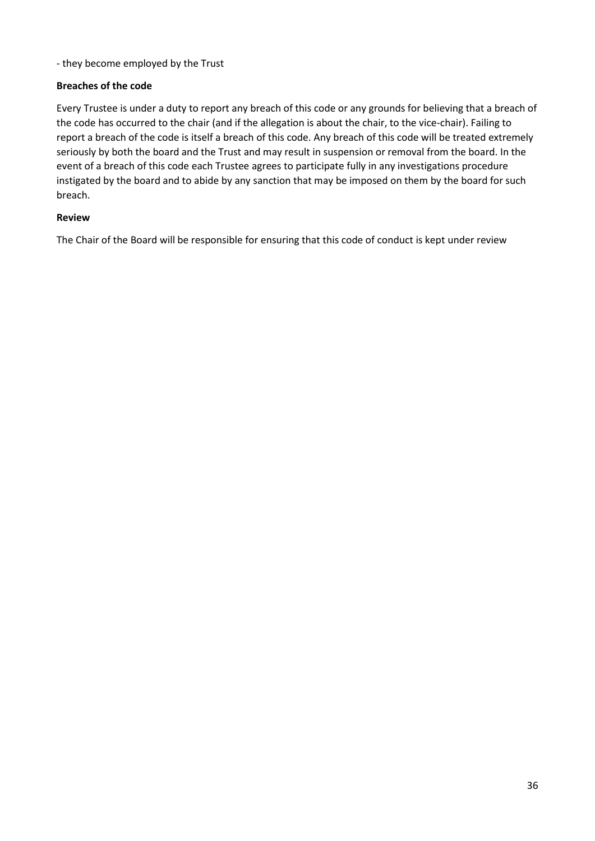- they become employed by the Trust

#### **Breaches of the code**

Every Trustee is under a duty to report any breach of this code or any grounds for believing that a breach of the code has occurred to the chair (and if the allegation is about the chair, to the vice-chair). Failing to report a breach of the code is itself a breach of this code. Any breach of this code will be treated extremely seriously by both the board and the Trust and may result in suspension or removal from the board. In the event of a breach of this code each Trustee agrees to participate fully in any investigations procedure instigated by the board and to abide by any sanction that may be imposed on them by the board for such breach.

#### **Review**

The Chair of the Board will be responsible for ensuring that this code of conduct is kept under review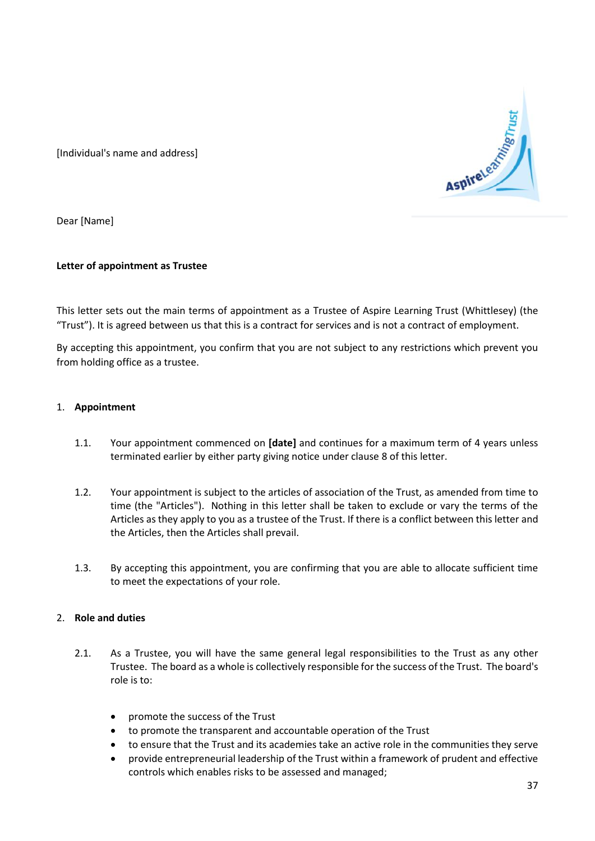

[Individual's name and address]

Dear [Name]

#### **Letter of appointment as Trustee**

This letter sets out the main terms of appointment as a Trustee of Aspire Learning Trust (Whittlesey) (the "Trust"). It is agreed between us that this is a contract for services and is not a contract of employment.

By accepting this appointment, you confirm that you are not subject to any restrictions which prevent you from holding office as a trustee.

#### 1. **Appointment**

- 1.1. Your appointment commenced on **[date]** and continues for a maximum term of 4 years unless terminated earlier by either party giving notice under clause 8 of this letter.
- 1.2. Your appointment is subject to the articles of association of the Trust, as amended from time to time (the "Articles"). Nothing in this letter shall be taken to exclude or vary the terms of the Articles as they apply to you as a trustee of the Trust. If there is a conflict between this letter and the Articles, then the Articles shall prevail.
- 1.3. By accepting this appointment, you are confirming that you are able to allocate sufficient time to meet the expectations of your role.

#### 2. **Role and duties**

- 2.1. As a Trustee, you will have the same general legal responsibilities to the Trust as any other Trustee. The board as a whole is collectively responsible for the success of the Trust. The board's role is to:
	- promote the success of the Trust
	- to promote the transparent and accountable operation of the Trust
	- to ensure that the Trust and its academies take an active role in the communities they serve
	- provide entrepreneurial leadership of the Trust within a framework of prudent and effective controls which enables risks to be assessed and managed;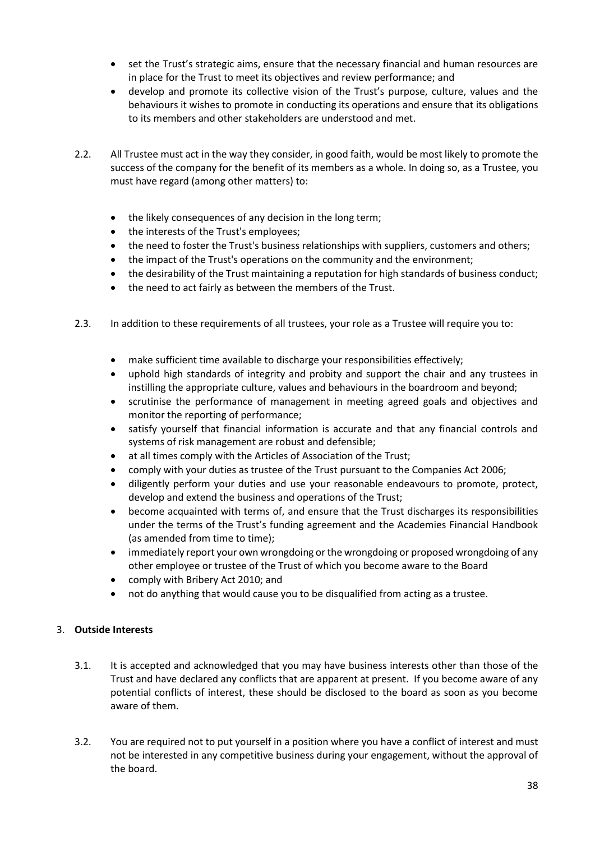- set the Trust's strategic aims, ensure that the necessary financial and human resources are in place for the Trust to meet its objectives and review performance; and
- develop and promote its collective vision of the Trust's purpose, culture, values and the behaviours it wishes to promote in conducting its operations and ensure that its obligations to its members and other stakeholders are understood and met.
- 2.2. All Trustee must act in the way they consider, in good faith, would be most likely to promote the success of the company for the benefit of its members as a whole. In doing so, as a Trustee, you must have regard (among other matters) to:
	- the likely consequences of any decision in the long term;
	- the interests of the Trust's employees;
	- the need to foster the Trust's business relationships with suppliers, customers and others;
	- the impact of the Trust's operations on the community and the environment;
	- the desirability of the Trust maintaining a reputation for high standards of business conduct;
	- the need to act fairly as between the members of the Trust.
- 2.3. In addition to these requirements of all trustees, your role as a Trustee will require you to:
	- make sufficient time available to discharge your responsibilities effectively;
	- uphold high standards of integrity and probity and support the chair and any trustees in instilling the appropriate culture, values and behaviours in the boardroom and beyond;
	- scrutinise the performance of management in meeting agreed goals and objectives and monitor the reporting of performance;
	- satisfy yourself that financial information is accurate and that any financial controls and systems of risk management are robust and defensible;
	- at all times comply with the Articles of Association of the Trust;
	- comply with your duties as trustee of the Trust pursuant to the Companies Act 2006;
	- diligently perform your duties and use your reasonable endeavours to promote, protect, develop and extend the business and operations of the Trust;
	- become acquainted with terms of, and ensure that the Trust discharges its responsibilities under the terms of the Trust's funding agreement and the Academies Financial Handbook (as amended from time to time);
	- immediately report your own wrongdoing or the wrongdoing or proposed wrongdoing of any other employee or trustee of the Trust of which you become aware to the Board
	- comply with Bribery Act 2010; and
	- not do anything that would cause you to be disqualified from acting as a trustee.

#### 3. **Outside Interests**

- 3.1. It is accepted and acknowledged that you may have business interests other than those of the Trust and have declared any conflicts that are apparent at present. If you become aware of any potential conflicts of interest, these should be disclosed to the board as soon as you become aware of them.
- 3.2. You are required not to put yourself in a position where you have a conflict of interest and must not be interested in any competitive business during your engagement, without the approval of the board.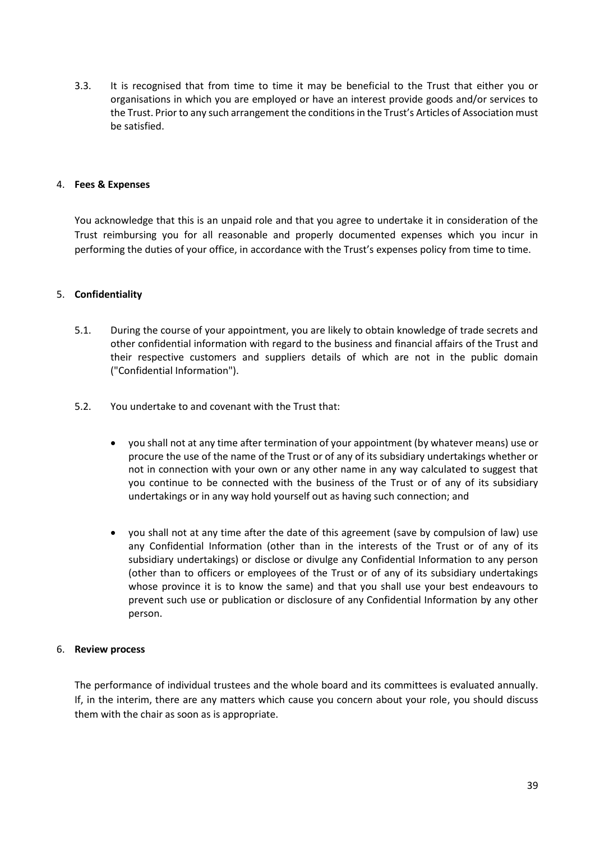3.3. It is recognised that from time to time it may be beneficial to the Trust that either you or organisations in which you are employed or have an interest provide goods and/or services to the Trust. Prior to any such arrangement the conditions in the Trust's Articles of Association must be satisfied.

#### 4. **Fees & Expenses**

You acknowledge that this is an unpaid role and that you agree to undertake it in consideration of the Trust reimbursing you for all reasonable and properly documented expenses which you incur in performing the duties of your office, in accordance with the Trust's expenses policy from time to time.

#### 5. **Confidentiality**

- 5.1. During the course of your appointment, you are likely to obtain knowledge of trade secrets and other confidential information with regard to the business and financial affairs of the Trust and their respective customers and suppliers details of which are not in the public domain ("Confidential Information").
- 5.2. You undertake to and covenant with the Trust that:
	- you shall not at any time after termination of your appointment (by whatever means) use or procure the use of the name of the Trust or of any of its subsidiary undertakings whether or not in connection with your own or any other name in any way calculated to suggest that you continue to be connected with the business of the Trust or of any of its subsidiary undertakings or in any way hold yourself out as having such connection; and
	- you shall not at any time after the date of this agreement (save by compulsion of law) use any Confidential Information (other than in the interests of the Trust or of any of its subsidiary undertakings) or disclose or divulge any Confidential Information to any person (other than to officers or employees of the Trust or of any of its subsidiary undertakings whose province it is to know the same) and that you shall use your best endeavours to prevent such use or publication or disclosure of any Confidential Information by any other person.

#### 6. **Review process**

The performance of individual trustees and the whole board and its committees is evaluated annually. If, in the interim, there are any matters which cause you concern about your role, you should discuss them with the chair as soon as is appropriate.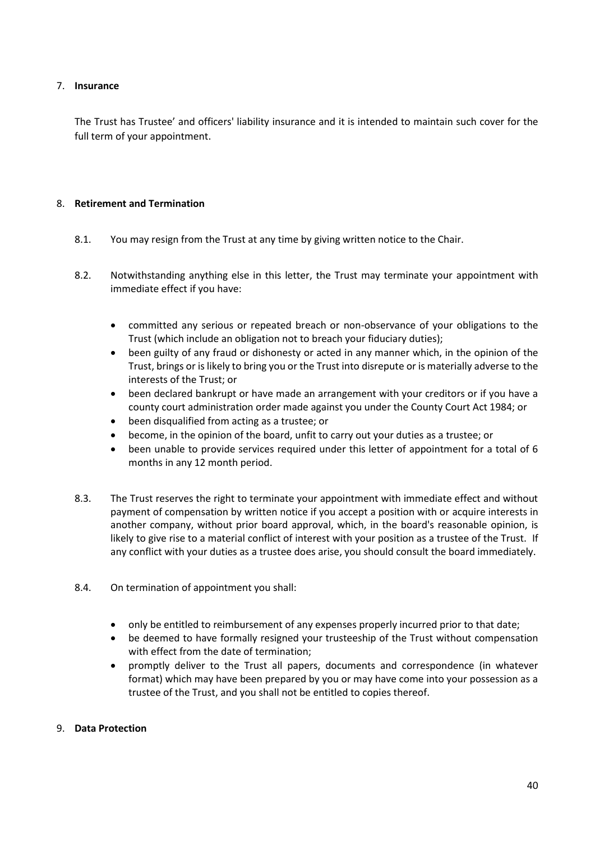#### 7. **Insurance**

The Trust has Trustee' and officers' liability insurance and it is intended to maintain such cover for the full term of your appointment.

#### 8. **Retirement and Termination**

- 8.1. You may resign from the Trust at any time by giving written notice to the Chair.
- 8.2. Notwithstanding anything else in this letter, the Trust may terminate your appointment with immediate effect if you have:
	- committed any serious or repeated breach or non-observance of your obligations to the Trust (which include an obligation not to breach your fiduciary duties);
	- been guilty of any fraud or dishonesty or acted in any manner which, in the opinion of the Trust, brings or is likely to bring you or the Trust into disrepute or is materially adverse to the interests of the Trust; or
	- been declared bankrupt or have made an arrangement with your creditors or if you have a county court administration order made against you under the County Court Act 1984; or
	- been disqualified from acting as a trustee; or
	- become, in the opinion of the board, unfit to carry out your duties as a trustee; or
	- been unable to provide services required under this letter of appointment for a total of 6 months in any 12 month period.
- 8.3. The Trust reserves the right to terminate your appointment with immediate effect and without payment of compensation by written notice if you accept a position with or acquire interests in another company, without prior board approval, which, in the board's reasonable opinion, is likely to give rise to a material conflict of interest with your position as a trustee of the Trust. If any conflict with your duties as a trustee does arise, you should consult the board immediately.
- 8.4. On termination of appointment you shall:
	- only be entitled to reimbursement of any expenses properly incurred prior to that date;
	- be deemed to have formally resigned your trusteeship of the Trust without compensation with effect from the date of termination;
	- promptly deliver to the Trust all papers, documents and correspondence (in whatever format) which may have been prepared by you or may have come into your possession as a trustee of the Trust, and you shall not be entitled to copies thereof.

#### 9. **Data Protection**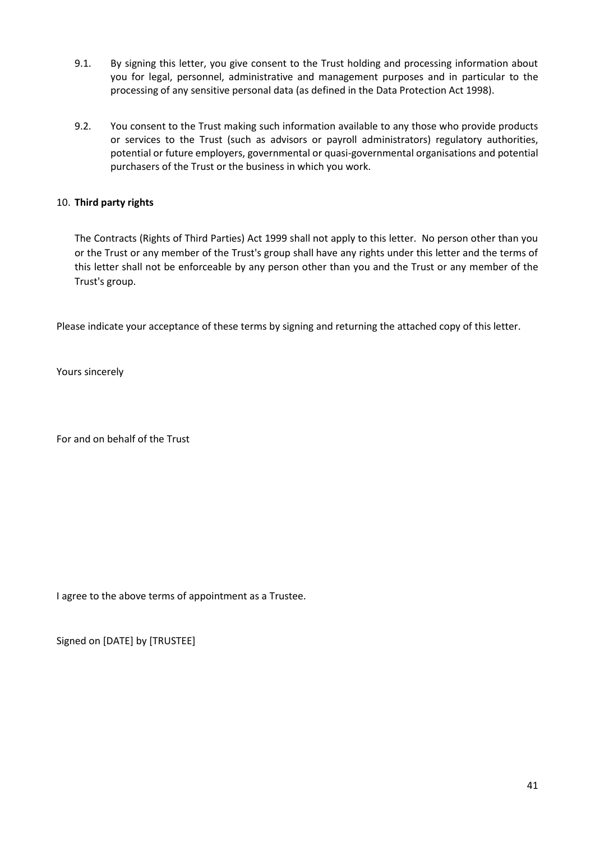- 9.1. By signing this letter, you give consent to the Trust holding and processing information about you for legal, personnel, administrative and management purposes and in particular to the processing of any sensitive personal data (as defined in the Data Protection Act 1998).
- 9.2. You consent to the Trust making such information available to any those who provide products or services to the Trust (such as advisors or payroll administrators) regulatory authorities, potential or future employers, governmental or quasi-governmental organisations and potential purchasers of the Trust or the business in which you work.

#### 10. **Third party rights**

The Contracts (Rights of Third Parties) Act 1999 shall not apply to this letter. No person other than you or the Trust or any member of the Trust's group shall have any rights under this letter and the terms of this letter shall not be enforceable by any person other than you and the Trust or any member of the Trust's group.

Please indicate your acceptance of these terms by signing and returning the attached copy of this letter.

Yours sincerely

For and on behalf of the Trust

I agree to the above terms of appointment as a Trustee.

Signed on [DATE] by [TRUSTEE]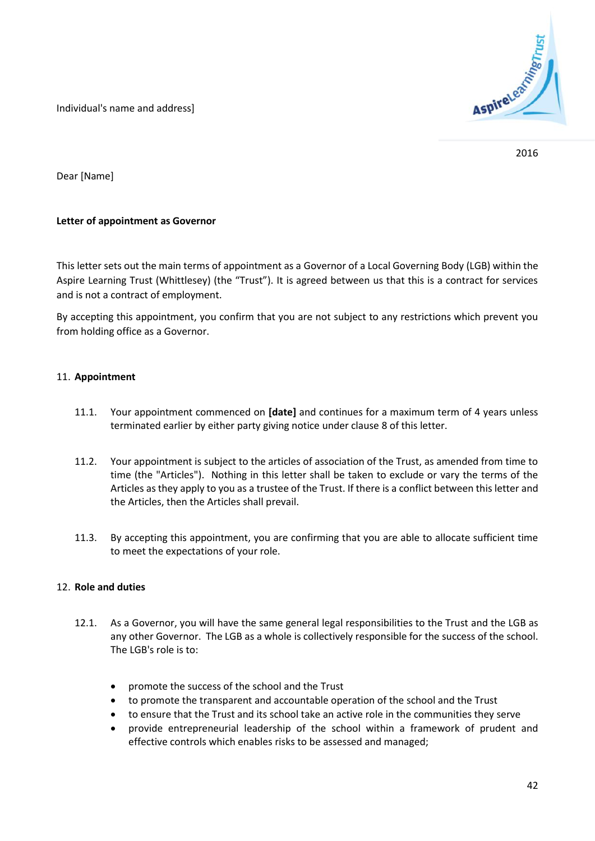Individual's name and address]



2016

Dear [Name]

#### **Letter of appointment as Governor**

This letter sets out the main terms of appointment as a Governor of a Local Governing Body (LGB) within the Aspire Learning Trust (Whittlesey) (the "Trust"). It is agreed between us that this is a contract for services and is not a contract of employment.

By accepting this appointment, you confirm that you are not subject to any restrictions which prevent you from holding office as a Governor.

#### 11. **Appointment**

- 11.1. Your appointment commenced on **[date]** and continues for a maximum term of 4 years unless terminated earlier by either party giving notice under clause 8 of this letter.
- 11.2. Your appointment is subject to the articles of association of the Trust, as amended from time to time (the "Articles"). Nothing in this letter shall be taken to exclude or vary the terms of the Articles as they apply to you as a trustee of the Trust. If there is a conflict between this letter and the Articles, then the Articles shall prevail.
- 11.3. By accepting this appointment, you are confirming that you are able to allocate sufficient time to meet the expectations of your role.

#### 12. **Role and duties**

- 12.1. As a Governor, you will have the same general legal responsibilities to the Trust and the LGB as any other Governor. The LGB as a whole is collectively responsible for the success of the school. The LGB's role is to:
	- promote the success of the school and the Trust
	- to promote the transparent and accountable operation of the school and the Trust
	- to ensure that the Trust and its school take an active role in the communities they serve
	- provide entrepreneurial leadership of the school within a framework of prudent and effective controls which enables risks to be assessed and managed;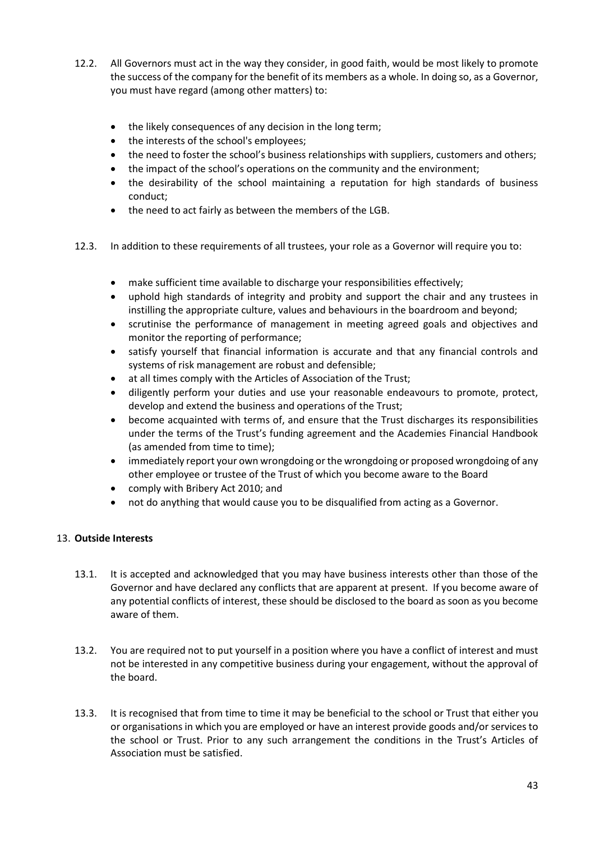- 12.2. All Governors must act in the way they consider, in good faith, would be most likely to promote the success of the company for the benefit of its members as a whole. In doing so, as a Governor, you must have regard (among other matters) to:
	- the likely consequences of any decision in the long term;
	- the interests of the school's employees;
	- the need to foster the school's business relationships with suppliers, customers and others;
	- the impact of the school's operations on the community and the environment;
	- the desirability of the school maintaining a reputation for high standards of business conduct;
	- the need to act fairly as between the members of the LGB.
- 12.3. In addition to these requirements of all trustees, your role as a Governor will require you to:
	- make sufficient time available to discharge your responsibilities effectively;
	- uphold high standards of integrity and probity and support the chair and any trustees in instilling the appropriate culture, values and behaviours in the boardroom and beyond;
	- scrutinise the performance of management in meeting agreed goals and objectives and monitor the reporting of performance;
	- satisfy yourself that financial information is accurate and that any financial controls and systems of risk management are robust and defensible;
	- at all times comply with the Articles of Association of the Trust;
	- diligently perform your duties and use your reasonable endeavours to promote, protect, develop and extend the business and operations of the Trust;
	- become acquainted with terms of, and ensure that the Trust discharges its responsibilities under the terms of the Trust's funding agreement and the Academies Financial Handbook (as amended from time to time);
	- immediately report your own wrongdoing or the wrongdoing or proposed wrongdoing of any other employee or trustee of the Trust of which you become aware to the Board
	- comply with Bribery Act 2010; and
	- not do anything that would cause you to be disqualified from acting as a Governor.

#### 13. **Outside Interests**

- 13.1. It is accepted and acknowledged that you may have business interests other than those of the Governor and have declared any conflicts that are apparent at present. If you become aware of any potential conflicts of interest, these should be disclosed to the board as soon as you become aware of them.
- 13.2. You are required not to put yourself in a position where you have a conflict of interest and must not be interested in any competitive business during your engagement, without the approval of the board.
- 13.3. It is recognised that from time to time it may be beneficial to the school or Trust that either you or organisations in which you are employed or have an interest provide goods and/or services to the school or Trust. Prior to any such arrangement the conditions in the Trust's Articles of Association must be satisfied.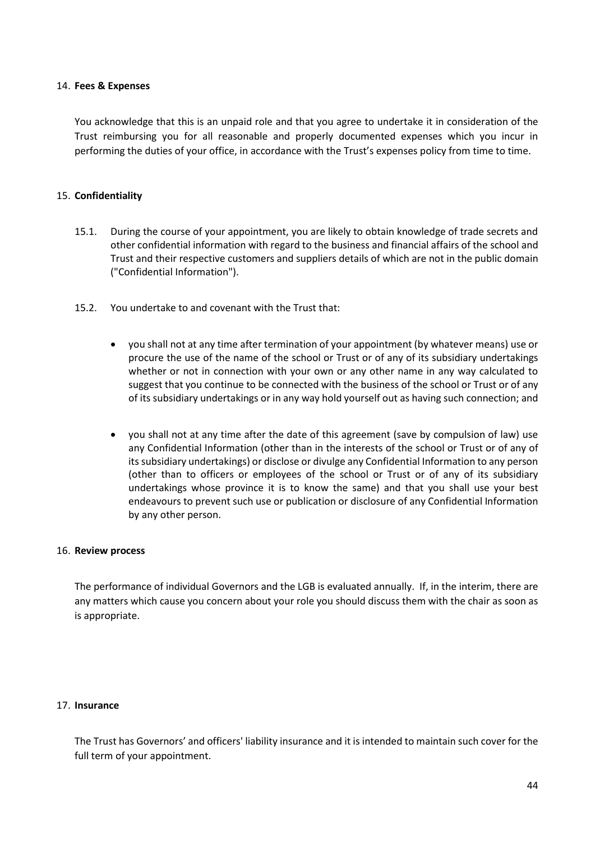#### 14. **Fees & Expenses**

You acknowledge that this is an unpaid role and that you agree to undertake it in consideration of the Trust reimbursing you for all reasonable and properly documented expenses which you incur in performing the duties of your office, in accordance with the Trust's expenses policy from time to time.

#### 15. **Confidentiality**

- 15.1. During the course of your appointment, you are likely to obtain knowledge of trade secrets and other confidential information with regard to the business and financial affairs of the school and Trust and their respective customers and suppliers details of which are not in the public domain ("Confidential Information").
- 15.2. You undertake to and covenant with the Trust that:
	- you shall not at any time after termination of your appointment (by whatever means) use or procure the use of the name of the school or Trust or of any of its subsidiary undertakings whether or not in connection with your own or any other name in any way calculated to suggest that you continue to be connected with the business of the school or Trust or of any of its subsidiary undertakings or in any way hold yourself out as having such connection; and
	- you shall not at any time after the date of this agreement (save by compulsion of law) use any Confidential Information (other than in the interests of the school or Trust or of any of its subsidiary undertakings) or disclose or divulge any Confidential Information to any person (other than to officers or employees of the school or Trust or of any of its subsidiary undertakings whose province it is to know the same) and that you shall use your best endeavours to prevent such use or publication or disclosure of any Confidential Information by any other person.

#### 16. **Review process**

The performance of individual Governors and the LGB is evaluated annually. If, in the interim, there are any matters which cause you concern about your role you should discuss them with the chair as soon as is appropriate.

#### 17. **Insurance**

The Trust has Governors' and officers' liability insurance and it is intended to maintain such cover for the full term of your appointment.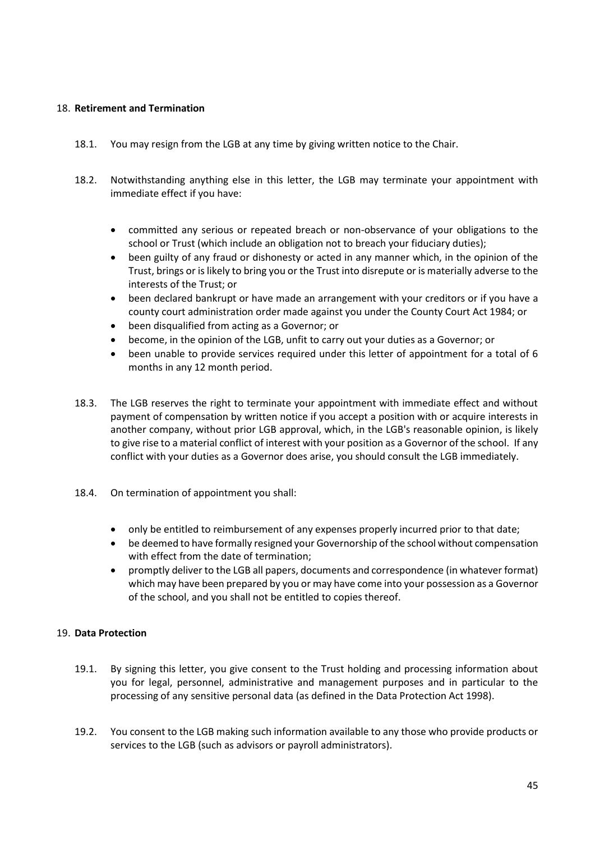#### 18. **Retirement and Termination**

- 18.1. You may resign from the LGB at any time by giving written notice to the Chair.
- 18.2. Notwithstanding anything else in this letter, the LGB may terminate your appointment with immediate effect if you have:
	- committed any serious or repeated breach or non-observance of your obligations to the school or Trust (which include an obligation not to breach your fiduciary duties);
	- been guilty of any fraud or dishonesty or acted in any manner which, in the opinion of the Trust, brings or is likely to bring you or the Trust into disrepute or is materially adverse to the interests of the Trust; or
	- been declared bankrupt or have made an arrangement with your creditors or if you have a county court administration order made against you under the County Court Act 1984; or
	- been disqualified from acting as a Governor; or
	- become, in the opinion of the LGB, unfit to carry out your duties as a Governor; or
	- been unable to provide services required under this letter of appointment for a total of 6 months in any 12 month period.
- 18.3. The LGB reserves the right to terminate your appointment with immediate effect and without payment of compensation by written notice if you accept a position with or acquire interests in another company, without prior LGB approval, which, in the LGB's reasonable opinion, is likely to give rise to a material conflict of interest with your position as a Governor of the school. If any conflict with your duties as a Governor does arise, you should consult the LGB immediately.
- 18.4. On termination of appointment you shall:
	- only be entitled to reimbursement of any expenses properly incurred prior to that date;
	- be deemed to have formally resigned your Governorship of the school without compensation with effect from the date of termination;
	- promptly deliver to the LGB all papers, documents and correspondence (in whatever format) which may have been prepared by you or may have come into your possession as a Governor of the school, and you shall not be entitled to copies thereof.

#### 19. **Data Protection**

- 19.1. By signing this letter, you give consent to the Trust holding and processing information about you for legal, personnel, administrative and management purposes and in particular to the processing of any sensitive personal data (as defined in the Data Protection Act 1998).
- 19.2. You consent to the LGB making such information available to any those who provide products or services to the LGB (such as advisors or payroll administrators).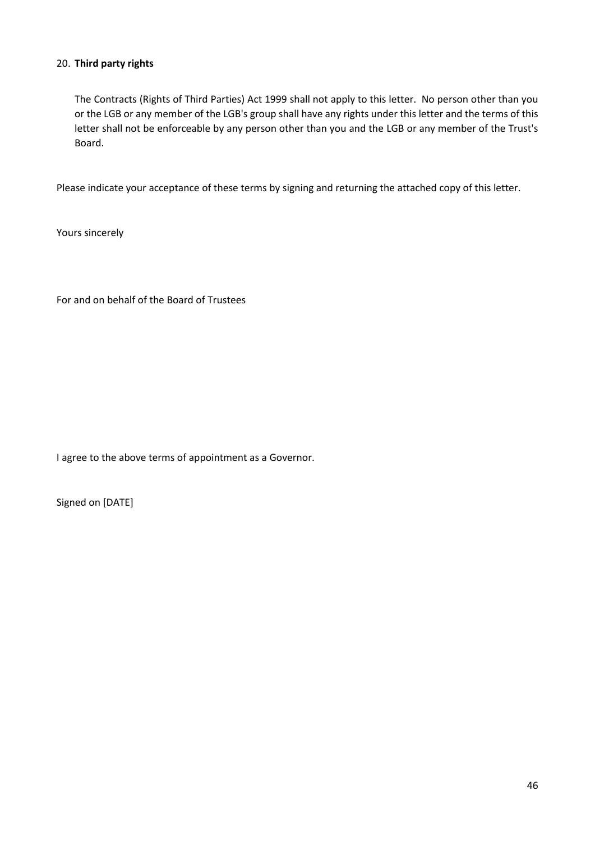#### 20. **Third party rights**

The Contracts (Rights of Third Parties) Act 1999 shall not apply to this letter. No person other than you or the LGB or any member of the LGB's group shall have any rights under this letter and the terms of this letter shall not be enforceable by any person other than you and the LGB or any member of the Trust's Board.

Please indicate your acceptance of these terms by signing and returning the attached copy of this letter.

Yours sincerely

For and on behalf of the Board of Trustees

I agree to the above terms of appointment as a Governor.

Signed on [DATE]